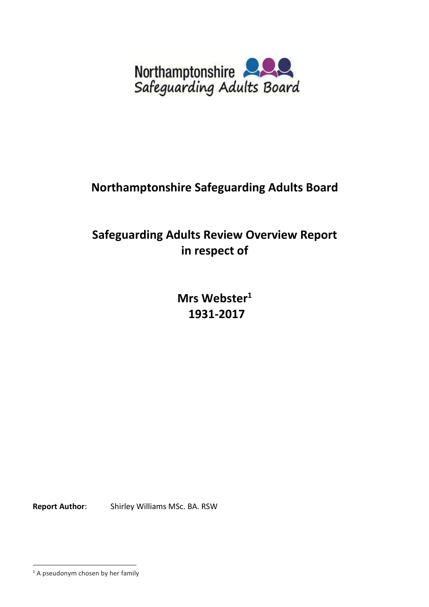

# **Northamptonshire Safeguarding Adults Board**

# **Safeguarding Adults Review Overview Report in respect of**

**Mrs Webster<sup>1</sup> 1931-2017** 

.<br>-

**Report Author**: Shirley Williams MSc. BA. RSW

 $<sup>1</sup>$  A pseudonym chosen by her family</sup>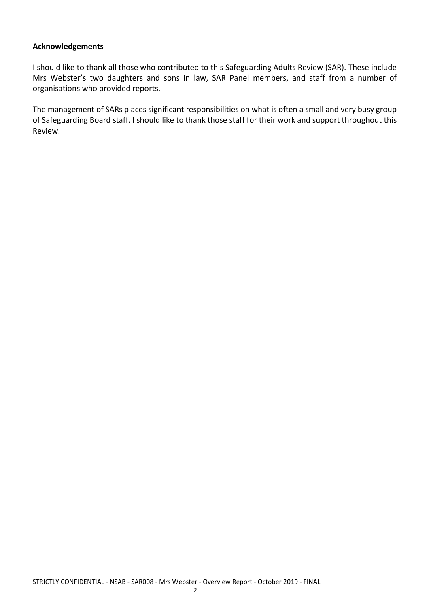#### **Acknowledgements**

I should like to thank all those who contributed to this Safeguarding Adults Review (SAR). These include Mrs Webster's two daughters and sons in law, SAR Panel members, and staff from a number of organisations who provided reports.

The management of SARs places significant responsibilities on what is often a small and very busy group of Safeguarding Board staff. I should like to thank those staff for their work and support throughout this Review.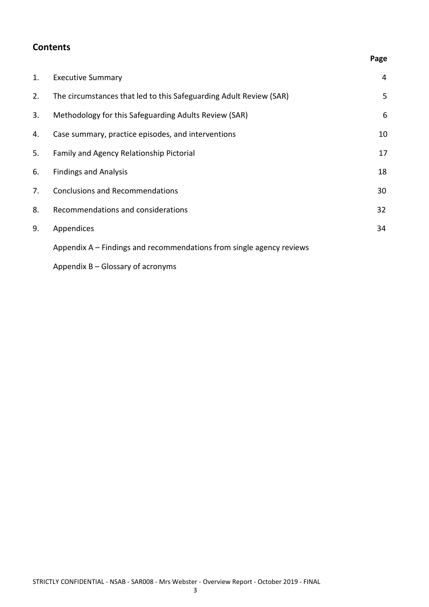# **Contents**

## **Page**

| 1. | <b>Executive Summary</b>                                             | 4  |
|----|----------------------------------------------------------------------|----|
| 2. | The circumstances that led to this Safeguarding Adult Review (SAR)   | 5  |
| 3. | Methodology for this Safeguarding Adults Review (SAR)                | 6  |
| 4. | Case summary, practice episodes, and interventions                   | 10 |
| 5. | Family and Agency Relationship Pictorial                             | 17 |
| 6. | <b>Findings and Analysis</b>                                         | 18 |
| 7. | <b>Conclusions and Recommendations</b>                               | 30 |
| 8. | Recommendations and considerations                                   | 32 |
| 9. | Appendices                                                           | 34 |
|    | Appendix A – Findings and recommendations from single agency reviews |    |
|    |                                                                      |    |

Appendix B – Glossary of acronyms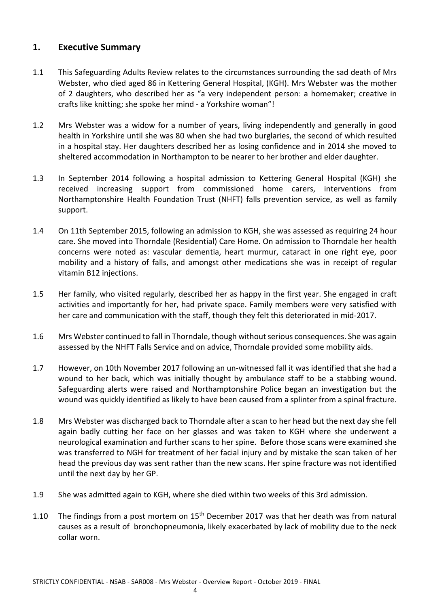## **1. Executive Summary**

- 1.1 This Safeguarding Adults Review relates to the circumstances surrounding the sad death of Mrs Webster, who died aged 86 in Kettering General Hospital, (KGH). Mrs Webster was the mother of 2 daughters, who described her as "a very independent person: a homemaker; creative in crafts like knitting; she spoke her mind - a Yorkshire woman"!
- 1.2 Mrs Webster was a widow for a number of years, living independently and generally in good health in Yorkshire until she was 80 when she had two burglaries, the second of which resulted in a hospital stay. Her daughters described her as losing confidence and in 2014 she moved to sheltered accommodation in Northampton to be nearer to her brother and elder daughter.
- 1.3 In September 2014 following a hospital admission to Kettering General Hospital (KGH) she received increasing support from commissioned home carers, interventions from Northamptonshire Health Foundation Trust (NHFT) falls prevention service, as well as family support.
- 1.4 On 11th September 2015, following an admission to KGH, she was assessed as requiring 24 hour care. She moved into Thorndale (Residential) Care Home. On admission to Thorndale her health concerns were noted as: vascular dementia, heart murmur, cataract in one right eye, poor mobility and a history of falls, and amongst other medications she was in receipt of regular vitamin B12 injections.
- 1.5 Her family, who visited regularly, described her as happy in the first year. She engaged in craft activities and importantly for her, had private space. Family members were very satisfied with her care and communication with the staff, though they felt this deteriorated in mid-2017.
- 1.6 Mrs Webster continued to fall in Thorndale, though without serious consequences. She was again assessed by the NHFT Falls Service and on advice, Thorndale provided some mobility aids.
- 1.7 However, on 10th November 2017 following an un-witnessed fall it was identified that she had a wound to her back, which was initially thought by ambulance staff to be a stabbing wound. Safeguarding alerts were raised and Northamptonshire Police began an investigation but the wound was quickly identified as likely to have been caused from a splinter from a spinal fracture.
- 1.8 Mrs Webster was discharged back to Thorndale after a scan to her head but the next day she fell again badly cutting her face on her glasses and was taken to KGH where she underwent a neurological examination and further scans to her spine. Before those scans were examined she was transferred to NGH for treatment of her facial injury and by mistake the scan taken of her head the previous day was sent rather than the new scans. Her spine fracture was not identified until the next day by her GP.
- 1.9 She was admitted again to KGH, where she died within two weeks of this 3rd admission.
- 1.10 The findings from a post mortem on  $15<sup>th</sup>$  December 2017 was that her death was from natural causes as a result of bronchopneumonia, likely exacerbated by lack of mobility due to the neck collar worn.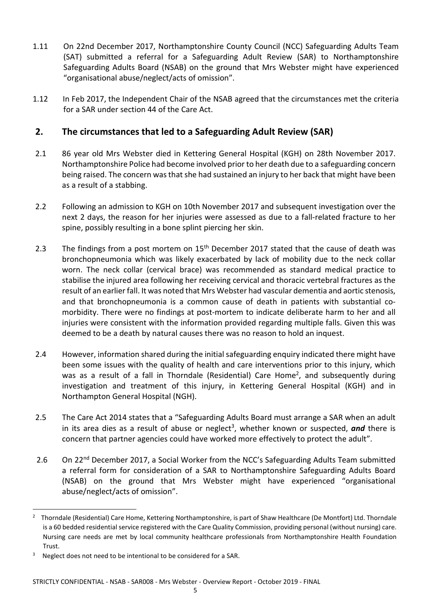- 1.11 On 22nd December 2017, Northamptonshire County Council (NCC) Safeguarding Adults Team (SAT) submitted a referral for a Safeguarding Adult Review (SAR) to Northamptonshire Safeguarding Adults Board (NSAB) on the ground that Mrs Webster might have experienced "organisational abuse/neglect/acts of omission".
- 1.12 In Feb 2017, the Independent Chair of the NSAB agreed that the circumstances met the criteria for a SAR under section 44 of the Care Act.

# **2. The circumstances that led to a Safeguarding Adult Review (SAR)**

- 2.1 86 year old Mrs Webster died in Kettering General Hospital (KGH) on 28th November 2017. Northamptonshire Police had become involved prior to her death due to a safeguarding concern being raised. The concern was that she had sustained an injury to her back that might have been as a result of a stabbing.
- 2.2 Following an admission to KGH on 10th November 2017 and subsequent investigation over the next 2 days, the reason for her injuries were assessed as due to a fall-related fracture to her spine, possibly resulting in a bone splint piercing her skin.
- 2.3 The findings from a post mortem on  $15<sup>th</sup>$  December 2017 stated that the cause of death was bronchopneumonia which was likely exacerbated by lack of mobility due to the neck collar worn. The neck collar (cervical brace) was recommended as standard medical practice to stabilise the injured area following her receiving cervical and thoracic vertebral fractures as the result of an earlier fall. It was noted that Mrs Webster had vascular dementia and aortic stenosis, and that bronchopneumonia is a common cause of death in patients with substantial comorbidity. There were no findings at post-mortem to indicate deliberate harm to her and all injuries were consistent with the information provided regarding multiple falls. Given this was deemed to be a death by natural causes there was no reason to hold an inquest.
- 2.4 However, information shared during the initial safeguarding enquiry indicated there might have been some issues with the quality of health and care interventions prior to this injury, which was as a result of a fall in Thorndale (Residential) Care Home<sup>2</sup>, and subsequently during investigation and treatment of this injury, in Kettering General Hospital (KGH) and in Northampton General Hospital (NGH).
- 2.5 The Care Act 2014 states that a "Safeguarding Adults Board must arrange a SAR when an adult in its area dies as a result of abuse or neglect<sup>3</sup>, whether known or suspected, *and* there is concern that partner agencies could have worked more effectively to protect the adult".
- 2.6 On 22<sup>nd</sup> December 2017, a Social Worker from the NCC's Safeguarding Adults Team submitted a referral form for consideration of a SAR to Northamptonshire Safeguarding Adults Board (NSAB) on the ground that Mrs Webster might have experienced "organisational abuse/neglect/acts of omission".

<sup>2</sup> Thorndale (Residential) Care Home, Kettering Northamptonshire, is part of Shaw Healthcare (De Montfort) Ltd. Thorndale is a 60 bedded residential service registered with the Care Quality Commission, providing personal (without nursing) care. Nursing care needs are met by local community healthcare professionals from Northamptonshire Health Foundation Trust.

<sup>&</sup>lt;sup>3</sup> Neglect does not need to be intentional to be considered for a SAR.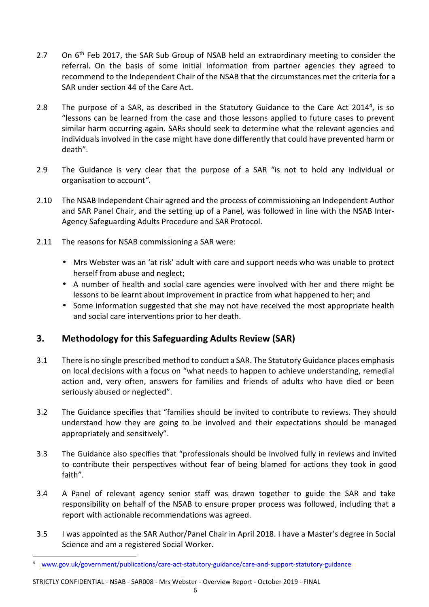- 2.7 On 6<sup>th</sup> Feb 2017, the SAR Sub Group of NSAB held an extraordinary meeting to consider the referral. On the basis of some initial information from partner agencies they agreed to recommend to the Independent Chair of the NSAB that the circumstances met the criteria for a SAR under section 44 of the Care Act.
- 2.8 The purpose of a SAR, as described in the Statutory Guidance to the Care Act 2014<sup>4</sup>, is so "lessons can be learned from the case and those lessons applied to future cases to prevent similar harm occurring again. SARs should seek to determine what the relevant agencies and individuals involved in the case might have done differently that could have prevented harm or death".
- 2.9 The Guidance is very clear that the purpose of a SAR "is not to hold any individual or organisation to account*".*
- 2.10 The NSAB Independent Chair agreed and the process of commissioning an Independent Author and SAR Panel Chair, and the setting up of a Panel, was followed in line with the NSAB Inter-Agency Safeguarding Adults Procedure and SAR Protocol.
- 2.11 The reasons for NSAB commissioning a SAR were:
	- Mrs Webster was an 'at risk' adult with care and support needs who was unable to protect herself from abuse and neglect;
	- A number of health and social care agencies were involved with her and there might be lessons to be learnt about improvement in practice from what happened to her; and
	- Some information suggested that she may not have received the most appropriate health and social care interventions prior to her death.

# **3. Methodology for this Safeguarding Adults Review (SAR)**

- 3.1 There is no single prescribed method to conduct a SAR. The Statutory Guidance places emphasis on local decisions with a focus on "what needs to happen to achieve understanding, remedial action and, very often, answers for families and friends of adults who have died or been seriously abused or neglected".
- 3.2 The Guidance specifies that "families should be invited to contribute to reviews. They should understand how they are going to be involved and their expectations should be managed appropriately and sensitively".
- 3.3 The Guidance also specifies that "professionals should be involved fully in reviews and invited to contribute their perspectives without fear of being blamed for actions they took in good faith".
- 3.4 A Panel of relevant agency senior staff was drawn together to guide the SAR and take responsibility on behalf of the NSAB to ensure proper process was followed, including that a report with actionable recommendations was agreed.
- 3.5 I was appointed as the SAR Author/Panel Chair in April 2018. I have a Master's degree in Social Science and am a registered Social Worker.

STRICTLY CONFIDENTIAL - NSAB - SAR008 - Mrs Webster - Overview Report - October 2019 - FINAL

<sup>4</sup> www.gov.uk/government/publications/care-act-statutory-guidance/care-and-support-statutory-guidance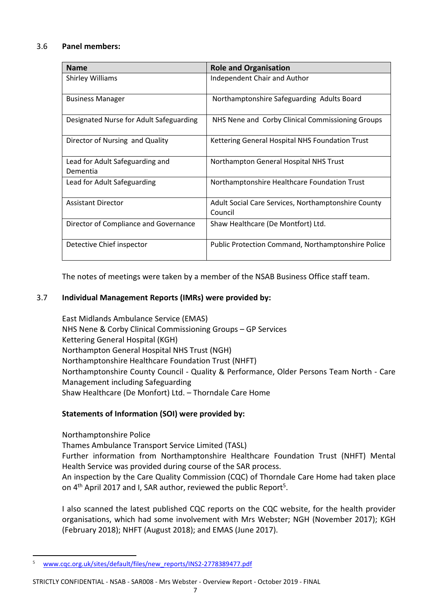### 3.6 **Panel members:**

| <b>Name</b>                                 | <b>Role and Organisation</b>                                   |
|---------------------------------------------|----------------------------------------------------------------|
| <b>Shirley Williams</b>                     | Independent Chair and Author                                   |
| <b>Business Manager</b>                     | Northamptonshire Safeguarding Adults Board                     |
| Designated Nurse for Adult Safeguarding     | NHS Nene and Corby Clinical Commissioning Groups               |
| Director of Nursing and Quality             | Kettering General Hospital NHS Foundation Trust                |
| Lead for Adult Safeguarding and<br>Dementia | Northampton General Hospital NHS Trust                         |
| Lead for Adult Safeguarding                 | Northamptonshire Healthcare Foundation Trust                   |
| <b>Assistant Director</b>                   | Adult Social Care Services, Northamptonshire County<br>Council |
| Director of Compliance and Governance       | Shaw Healthcare (De Montfort) Ltd.                             |
| Detective Chief inspector                   | Public Protection Command, Northamptonshire Police             |

The notes of meetings were taken by a member of the NSAB Business Office staff team.

#### 3.7 **Individual Management Reports (IMRs) were provided by:**

East Midlands Ambulance Service (EMAS) NHS Nene & Corby Clinical Commissioning Groups – GP Services Kettering General Hospital (KGH) Northampton General Hospital NHS Trust (NGH) Northamptonshire Healthcare Foundation Trust (NHFT) Northamptonshire County Council - Quality & Performance, Older Persons Team North - Care Management including Safeguarding Shaw Healthcare (De Monfort) Ltd. – Thorndale Care Home

## **Statements of Information (SOI) were provided by:**

Northamptonshire Police

.<br>-

Thames Ambulance Transport Service Limited (TASL)

Further information from Northamptonshire Healthcare Foundation Trust (NHFT) Mental Health Service was provided during course of the SAR process.

An inspection by the Care Quality Commission (CQC) of Thorndale Care Home had taken place on  $4<sup>th</sup>$  April 2017 and I, SAR author, reviewed the public Report<sup>5</sup>.

I also scanned the latest published CQC reports on the CQC website, for the health provider organisations, which had some involvement with Mrs Webster; NGH (November 2017); KGH (February 2018); NHFT (August 2018); and EMAS (June 2017).

<sup>5</sup> www.cqc.org.uk/sites/default/files/new\_reports/INS2-2778389477.pdf

STRICTLY CONFIDENTIAL - NSAB - SAR008 - Mrs Webster - Overview Report - October 2019 - FINAL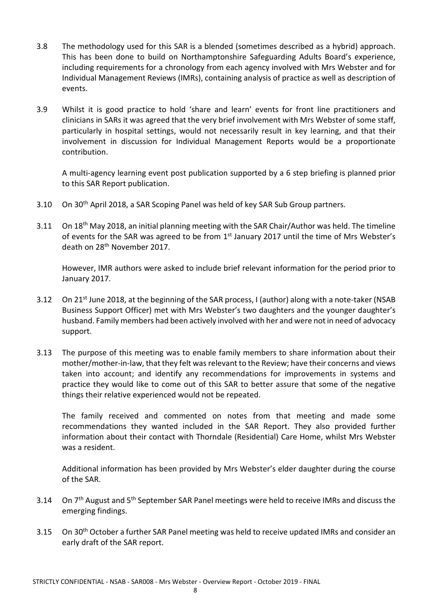- 3.8 The methodology used for this SAR is a blended (sometimes described as a hybrid) approach. This has been done to build on Northamptonshire Safeguarding Adults Board's experience, including requirements for a chronology from each agency involved with Mrs Webster and for Individual Management Reviews (IMRs), containing analysis of practice as well as description of events.
- 3.9 Whilst it is good practice to hold 'share and learn' events for front line practitioners and clinicians in SARs it was agreed that the very brief involvement with Mrs Webster of some staff, particularly in hospital settings, would not necessarily result in key learning, and that their involvement in discussion for Individual Management Reports would be a proportionate contribution.

A multi-agency learning event post publication supported by a 6 step briefing is planned prior to this SAR Report publication.

- 3.10 On 30<sup>th</sup> April 2018, a SAR Scoping Panel was held of key SAR Sub Group partners.
- 3.11 On 18<sup>th</sup> May 2018, an initial planning meeting with the SAR Chair/Author was held. The timeline of events for the SAR was agreed to be from 1st January 2017 until the time of Mrs Webster's death on 28th November 2017.

However, IMR authors were asked to include brief relevant information for the period prior to January 2017.

- 3.12 On 21<sup>st</sup> June 2018, at the beginning of the SAR process, I (author) along with a note-taker (NSAB Business Support Officer) met with Mrs Webster's two daughters and the younger daughter's husband. Family members had been actively involved with her and were not in need of advocacy support.
- 3.13 The purpose of this meeting was to enable family members to share information about their mother/mother-in-law, that they felt was relevant to the Review; have their concerns and views taken into account; and identify any recommendations for improvements in systems and practice they would like to come out of this SAR to better assure that some of the negative things their relative experienced would not be repeated.

The family received and commented on notes from that meeting and made some recommendations they wanted included in the SAR Report. They also provided further information about their contact with Thorndale (Residential) Care Home, whilst Mrs Webster was a resident.

Additional information has been provided by Mrs Webster's elder daughter during the course of the SAR.

- 3.14 On 7<sup>th</sup> August and 5<sup>th</sup> September SAR Panel meetings were held to receive IMRs and discuss the emerging findings.
- 3.15 On 30<sup>th</sup> October a further SAR Panel meeting was held to receive updated IMRs and consider an early draft of the SAR report.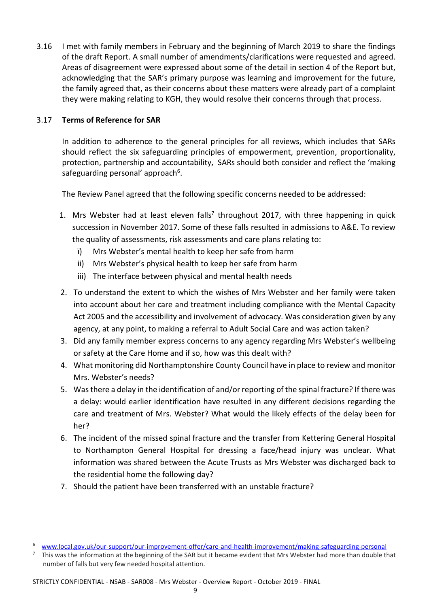3.16 I met with family members in February and the beginning of March 2019 to share the findings of the draft Report. A small number of amendments/clarifications were requested and agreed. Areas of disagreement were expressed about some of the detail in section 4 of the Report but, acknowledging that the SAR's primary purpose was learning and improvement for the future, the family agreed that, as their concerns about these matters were already part of a complaint they were making relating to KGH, they would resolve their concerns through that process.

## 3.17 **Terms of Reference for SAR**

.<br>-

In addition to adherence to the general principles for all reviews, which includes that SARs should reflect the six safeguarding principles of empowerment, prevention, proportionality, protection, partnership and accountability, SARs should both consider and reflect the 'making safeguarding personal' approach<sup>6</sup>.

The Review Panel agreed that the following specific concerns needed to be addressed:

- 1. Mrs Webster had at least eleven falls<sup>7</sup> throughout 2017, with three happening in quick succession in November 2017. Some of these falls resulted in admissions to A&E. To review the quality of assessments, risk assessments and care plans relating to:
	- ï) Mrs Webster's mental health to keep her safe from harm
	- ii) Mrs Webster's physical health to keep her safe from harm
	- iii) The interface between physical and mental health needs
- 2. To understand the extent to which the wishes of Mrs Webster and her family were taken into account about her care and treatment including compliance with the Mental Capacity Act 2005 and the accessibility and involvement of advocacy. Was consideration given by any agency, at any point, to making a referral to Adult Social Care and was action taken?
- 3. Did any family member express concerns to any agency regarding Mrs Webster's wellbeing or safety at the Care Home and if so, how was this dealt with?
- 4. What monitoring did Northamptonshire County Council have in place to review and monitor Mrs. Webster's needs?
- 5. Was there a delay in the identification of and/or reporting of the spinal fracture? If there was a delay: would earlier identification have resulted in any different decisions regarding the care and treatment of Mrs. Webster? What would the likely effects of the delay been for her?
- 6. The incident of the missed spinal fracture and the transfer from Kettering General Hospital to Northampton General Hospital for dressing a face/head injury was unclear. What information was shared between the Acute Trusts as Mrs Webster was discharged back to the residential home the following day?
- 7. Should the patient have been transferred with an unstable fracture?

STRICTLY CONFIDENTIAL - NSAB - SAR008 - Mrs Webster - Overview Report - October 2019 - FINAL

<sup>6</sup> www.local.gov.uk/our-support/our-improvement-offer/care-and-health-improvement/making-safeguarding-personal

<sup>7</sup> This was the information at the beginning of the SAR but it became evident that Mrs Webster had more than double that number of falls but very few needed hospital attention.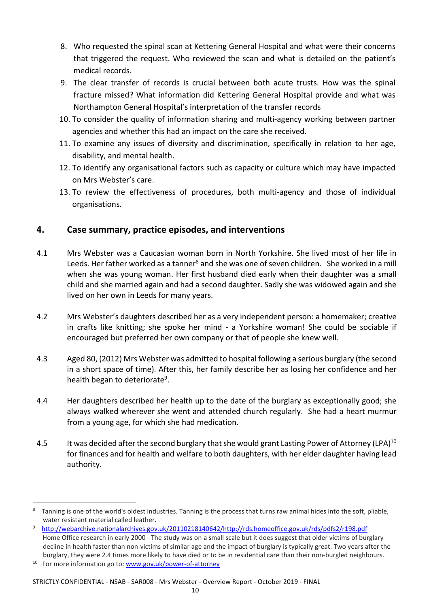- 8. Who requested the spinal scan at Kettering General Hospital and what were their concerns that triggered the request. Who reviewed the scan and what is detailed on the patient's medical records.
- 9. The clear transfer of records is crucial between both acute trusts. How was the spinal fracture missed? What information did Kettering General Hospital provide and what was Northampton General Hospital's interpretation of the transfer records
- 10. To consider the quality of information sharing and multi-agency working between partner agencies and whether this had an impact on the care she received.
- 11. To examine any issues of diversity and discrimination, specifically in relation to her age, disability, and mental health.
- 12. To identify any organisational factors such as capacity or culture which may have impacted on Mrs Webster's care.
- 13. To review the effectiveness of procedures, both multi-agency and those of individual organisations.

# **4. Case summary, practice episodes, and interventions**

- 4.1 Mrs Webster was a Caucasian woman born in North Yorkshire. She lived most of her life in Leeds. Her father worked as a tanner<sup>8</sup> and she was one of seven children. She worked in a mill when she was young woman. Her first husband died early when their daughter was a small child and she married again and had a second daughter. Sadly she was widowed again and she lived on her own in Leeds for many years.
- 4.2 Mrs Webster's daughters described her as a very independent person: a homemaker; creative in crafts like knitting; she spoke her mind - a Yorkshire woman! She could be sociable if encouraged but preferred her own company or that of people she knew well.
- 4.3 Aged 80, (2012) Mrs Webster was admitted to hospital following a serious burglary (the second in a short space of time). After this, her family describe her as losing her confidence and her health began to deteriorate<sup>9</sup>.
- 4.4 Her daughters described her health up to the date of the burglary as exceptionally good; she always walked wherever she went and attended church regularly. She had a heart murmur from a young age, for which she had medication.
- 4.5 It was decided after the second burglary that she would grant Lasting Power of Attorney (LPA)<sup>10</sup> for finances and for health and welfare to both daughters, with her elder daughter having lead authority.

<u>.</u>

#### STRICTLY CONFIDENTIAL - NSAB - SAR008 - Mrs Webster - Overview Report - October 2019 - FINAL

<sup>8</sup> Tanning is one of the world's oldest industries. Tanning is the process that turns raw animal hides into the soft, pliable, water resistant material called leather.

<sup>9</sup> http://webarchive.nationalarchives.gov.uk/20110218140642/http://rds.homeoffice.gov.uk/rds/pdfs2/r198.pdf Home Office research in early 2000 - The study was on a small scale but it does suggest that older victims of burglary decline in health faster than non-victims of similar age and the impact of burglary is typically great. Two years after the burglary, they were 2.4 times more likely to have died or to be in residential care than their non-burgled neighbours.

<sup>&</sup>lt;sup>10</sup> For more information go to: www.gov.uk/power-of-attorney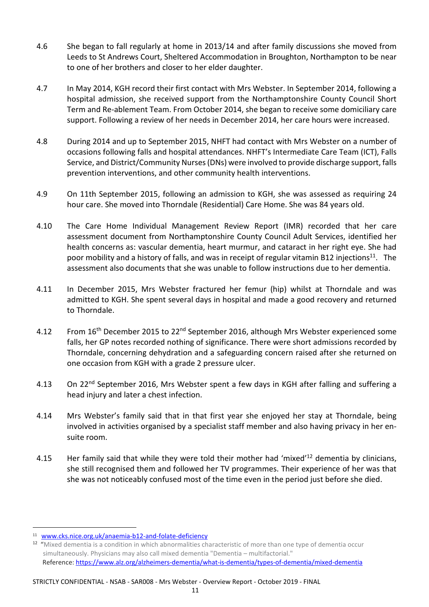- 4.6 She began to fall regularly at home in 2013/14 and after family discussions she moved from Leeds to St Andrews Court, Sheltered Accommodation in Broughton, Northampton to be near to one of her brothers and closer to her elder daughter.
- 4.7 In May 2014, KGH record their first contact with Mrs Webster. In September 2014, following a hospital admission, she received support from the Northamptonshire County Council Short Term and Re-ablement Team. From October 2014, she began to receive some domiciliary care support. Following a review of her needs in December 2014, her care hours were increased.
- 4.8 During 2014 and up to September 2015, NHFT had contact with Mrs Webster on a number of occasions following falls and hospital attendances. NHFT's Intermediate Care Team (ICT), Falls Service, and District/Community Nurses (DNs) were involved to provide discharge support, falls prevention interventions, and other community health interventions.
- 4.9 On 11th September 2015, following an admission to KGH, she was assessed as requiring 24 hour care. She moved into Thorndale (Residential) Care Home. She was 84 years old.
- 4.10 The Care Home Individual Management Review Report (IMR) recorded that her care assessment document from Northamptonshire County Council Adult Services, identified her health concerns as: vascular dementia, heart murmur, and cataract in her right eye. She had poor mobility and a history of falls, and was in receipt of regular vitamin B12 injections<sup>11</sup>. The assessment also documents that she was unable to follow instructions due to her dementia.
- 4.11 In December 2015, Mrs Webster fractured her femur (hip) whilst at Thorndale and was admitted to KGH. She spent several days in hospital and made a good recovery and returned to Thorndale.
- 4.12 From 16<sup>th</sup> December 2015 to 22<sup>nd</sup> September 2016, although Mrs Webster experienced some falls, her GP notes recorded nothing of significance. There were short admissions recorded by Thorndale, concerning dehydration and a safeguarding concern raised after she returned on one occasion from KGH with a grade 2 pressure ulcer.
- 4.13 On 22<sup>nd</sup> September 2016, Mrs Webster spent a few days in KGH after falling and suffering a head injury and later a chest infection.
- 4.14 Mrs Webster's family said that in that first year she enjoyed her stay at Thorndale, being involved in activities organised by a specialist staff member and also having privacy in her ensuite room.
- 4.15 Her family said that while they were told their mother had 'mixed'<sup>12</sup> dementia by clinicians, she still recognised them and followed her TV programmes. Their experience of her was that she was not noticeably confused most of the time even in the period just before she died.

<sup>11</sup> www.cks.nice.org.uk/anaemia-b12-and-folate-deficiency

<sup>&</sup>lt;sup>12</sup> "Mixed dementia is a condition in which abnormalities characteristic of more than one type of dementia occur simultaneously. Physicians may also call mixed dementia "Dementia – multifactorial." Reference: https://www.alz.org/alzheimers-dementia/what-is-dementia/types-of-dementia/mixed-dementia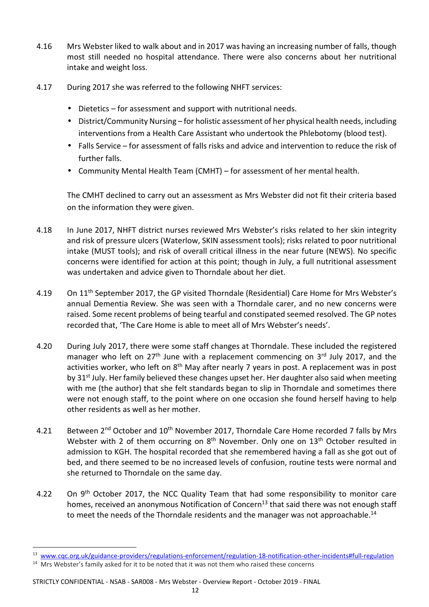- 4.16 Mrs Webster liked to walk about and in 2017 was having an increasing number of falls, though most still needed no hospital attendance. There were also concerns about her nutritional intake and weight loss.
- 4.17 During 2017 she was referred to the following NHFT services:
	- Dietetics for assessment and support with nutritional needs.
	- District/Community Nursing for holistic assessment of her physical health needs, including interventions from a Health Care Assistant who undertook the Phlebotomy (blood test).
	- Falls Service for assessment of falls risks and advice and intervention to reduce the risk of further falls.
	- Community Mental Health Team (CMHT) for assessment of her mental health.

The CMHT declined to carry out an assessment as Mrs Webster did not fit their criteria based on the information they were given.

- 4.18 In June 2017, NHFT district nurses reviewed Mrs Webster's risks related to her skin integrity and risk of pressure ulcers (Waterlow, SKIN assessment tools); risks related to poor nutritional intake (MUST tools); and risk of overall critical illness in the near future (NEWS). No specific concerns were identified for action at this point; though in July, a full nutritional assessment was undertaken and advice given to Thorndale about her diet.
- 4.19 On 11<sup>th</sup> September 2017, the GP visited Thorndale (Residential) Care Home for Mrs Webster's annual Dementia Review. She was seen with a Thorndale carer, and no new concerns were raised. Some recent problems of being tearful and constipated seemed resolved. The GP notes recorded that, 'The Care Home is able to meet all of Mrs Webster's needs'.
- 4.20 During July 2017, there were some staff changes at Thorndale. These included the registered manager who left on  $27<sup>th</sup>$  June with a replacement commencing on  $3<sup>rd</sup>$  July 2017, and the activities worker, who left on  $8<sup>th</sup>$  May after nearly 7 years in post. A replacement was in post by 31<sup>st</sup> July. Her family believed these changes upset her. Her daughter also said when meeting with me (the author) that she felt standards began to slip in Thorndale and sometimes there were not enough staff, to the point where on one occasion she found herself having to help other residents as well as her mother.
- 4.21 Between 2<sup>nd</sup> October and 10<sup>th</sup> November 2017, Thorndale Care Home recorded 7 falls by Mrs Webster with 2 of them occurring on  $8<sup>th</sup>$  November. Only one on  $13<sup>th</sup>$  October resulted in admission to KGH. The hospital recorded that she remembered having a fall as she got out of bed, and there seemed to be no increased levels of confusion, routine tests were normal and she returned to Thorndale on the same day.
- 4.22 On 9<sup>th</sup> October 2017, the NCC Quality Team that had some responsibility to monitor care homes, received an anonymous Notification of Concern<sup>13</sup> that said there was not enough staff to meet the needs of the Thorndale residents and the manager was not approachable.<sup>14</sup>

-

<sup>13</sup> www.cqc.org.uk/guidance-providers/regulations-enforcement/regulation-18-notification-other-incidents#full-regulation

 $14$  Mrs Webster's family asked for it to be noted that it was not them who raised these concerns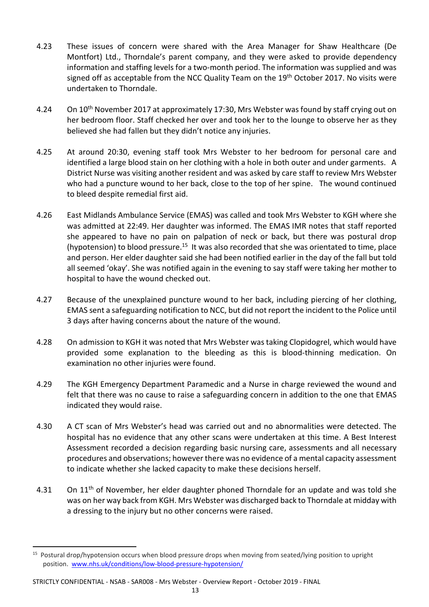- 4.23 These issues of concern were shared with the Area Manager for Shaw Healthcare (De Montfort) Ltd., Thorndale's parent company, and they were asked to provide dependency information and staffing levels for a two-month period. The information was supplied and was signed off as acceptable from the NCC Quality Team on the 19<sup>th</sup> October 2017. No visits were undertaken to Thorndale.
- 4.24 On 10<sup>th</sup> November 2017 at approximately 17:30, Mrs Webster was found by staff crying out on her bedroom floor. Staff checked her over and took her to the lounge to observe her as they believed she had fallen but they didn't notice any injuries.
- 4.25 At around 20:30, evening staff took Mrs Webster to her bedroom for personal care and identified a large blood stain on her clothing with a hole in both outer and under garments. A District Nurse was visiting another resident and was asked by care staff to review Mrs Webster who had a puncture wound to her back, close to the top of her spine. The wound continued to bleed despite remedial first aid.
- 4.26 East Midlands Ambulance Service (EMAS) was called and took Mrs Webster to KGH where she was admitted at 22:49. Her daughter was informed. The EMAS IMR notes that staff reported she appeared to have no pain on palpation of neck or back, but there was postural drop (hypotension) to blood pressure.<sup>15</sup> It was also recorded that she was orientated to time, place and person. Her elder daughter said she had been notified earlier in the day of the fall but told all seemed 'okay'. She was notified again in the evening to say staff were taking her mother to hospital to have the wound checked out.
- 4.27 Because of the unexplained puncture wound to her back, including piercing of her clothing, EMAS sent a safeguarding notification to NCC, but did not report the incident to the Police until 3 days after having concerns about the nature of the wound.
- 4.28 On admission to KGH it was noted that Mrs Webster was taking Clopidogrel, which would have provided some explanation to the bleeding as this is blood-thinning medication. On examination no other injuries were found.
- 4.29 The KGH Emergency Department Paramedic and a Nurse in charge reviewed the wound and felt that there was no cause to raise a safeguarding concern in addition to the one that EMAS indicated they would raise.
- 4.30 A CT scan of Mrs Webster's head was carried out and no abnormalities were detected. The hospital has no evidence that any other scans were undertaken at this time. A Best Interest Assessment recorded a decision regarding basic nursing care, assessments and all necessary procedures and observations; however there was no evidence of a mental capacity assessment to indicate whether she lacked capacity to make these decisions herself.
- 4.31 On 11<sup>th</sup> of November, her elder daughter phoned Thorndale for an update and was told she was on her way back from KGH. Mrs Webster was discharged back to Thorndale at midday with a dressing to the injury but no other concerns were raised.

STRICTLY CONFIDENTIAL - NSAB - SAR008 - Mrs Webster - Overview Report - October 2019 - FINAL

-

<sup>&</sup>lt;sup>15</sup> Postural drop/hypotension occurs when blood pressure drops when moving from seated/lying position to upright position. www.nhs.uk/conditions/low-blood-pressure-hypotension/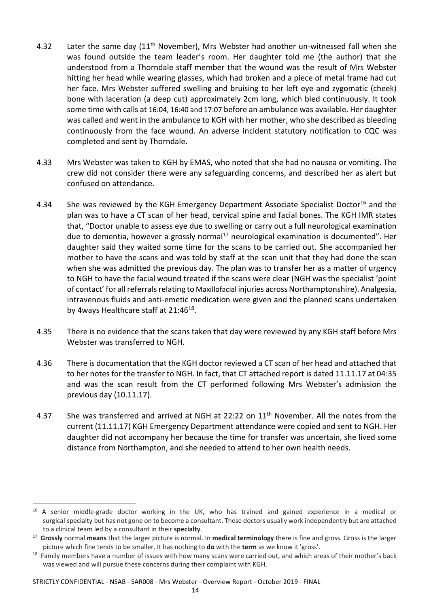- 4.32 Later the same day  $(11<sup>th</sup>$  November), Mrs Webster had another un-witnessed fall when she was found outside the team leader's room. Her daughter told me (the author) that she understood from a Thorndale staff member that the wound was the result of Mrs Webster hitting her head while wearing glasses, which had broken and a piece of metal frame had cut her face. Mrs Webster suffered swelling and bruising to her left eye and zygomatic (cheek) bone with laceration (a deep cut) approximately 2cm long, which bled continuously. It took some time with calls at 16:04, 16:40 and 17:07 before an ambulance was available. Her daughter was called and went in the ambulance to KGH with her mother, who she described as bleeding continuously from the face wound. An adverse incident statutory notification to CQC was completed and sent by Thorndale.
- 4.33 Mrs Webster was taken to KGH by EMAS, who noted that she had no nausea or vomiting. The crew did not consider there were any safeguarding concerns, and described her as alert but confused on attendance.
- 4.34 She was reviewed by the KGH Emergency Department Associate Specialist Doctor<sup>16</sup> and the plan was to have a CT scan of her head, cervical spine and facial bones. The KGH IMR states that, "Doctor unable to assess eye due to swelling or carry out a full neurological examination due to dementia, however a grossly normal<sup>17</sup> neurological examination is documented". Her daughter said they waited some time for the scans to be carried out. She accompanied her mother to have the scans and was told by staff at the scan unit that they had done the scan when she was admitted the previous day. The plan was to transfer her as a matter of urgency to NGH to have the facial wound treated if the scans were clear (NGH was the specialist 'point of contact' for all referrals relating to Maxillofacial injuries across Northamptonshire). Analgesia, intravenous fluids and anti-emetic medication were given and the planned scans undertaken by 4ways Healthcare staff at 21:46<sup>18</sup>.
- 4.35 There is no evidence that the scans taken that day were reviewed by any KGH staff before Mrs Webster was transferred to NGH.
- 4.36 There is documentation that the KGH doctor reviewed a CT scan of her head and attached that to her notes for the transfer to NGH. In fact, that CT attached report is dated 11.11.17 at 04:35 and was the scan result from the CT performed following Mrs Webster's admission the previous day (10.11.17).
- 4.37 She was transferred and arrived at NGH at 22:22 on  $11<sup>th</sup>$  November. All the notes from the current (11.11.17) KGH Emergency Department attendance were copied and sent to NGH. Her daughter did not accompany her because the time for transfer was uncertain, she lived some distance from Northampton, and she needed to attend to her own health needs.

STRICTLY CONFIDENTIAL - NSAB - SAR008 - Mrs Webster - Overview Report - October 2019 - FINAL

<u>.</u>

<sup>&</sup>lt;sup>16</sup> A senior middle-grade doctor working in the UK, who has trained and gained experience in a medical or surgical specialty but has not gone on to become a consultant. These doctors usually work independently but are attached to a clinical team led by a consultant in their **specialty**.

<sup>17</sup> **Grossly** normal **means** that the larger picture is normal. In **medical terminology** there is fine and gross. Gross is the larger picture which fine tends to be smaller. It has nothing to **do** with the **term** as we know it 'gross'.

<sup>&</sup>lt;sup>18</sup> Family members have a number of issues with how many scans were carried out, and which areas of their mother's back was viewed and will pursue these concerns during their complaint with KGH.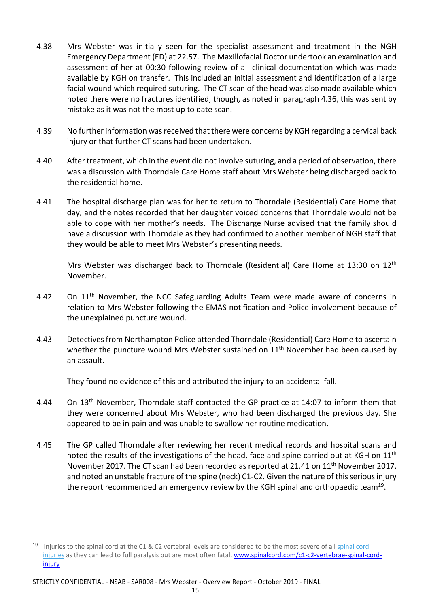- 4.38 Mrs Webster was initially seen for the specialist assessment and treatment in the NGH Emergency Department (ED) at 22.57. The Maxillofacial Doctor undertook an examination and assessment of her at 00:30 following review of all clinical documentation which was made available by KGH on transfer. This included an initial assessment and identification of a large facial wound which required suturing. The CT scan of the head was also made available which noted there were no fractures identified, though, as noted in paragraph 4.36, this was sent by mistake as it was not the most up to date scan.
- 4.39 No further information was received that there were concerns by KGH regarding a cervical back injury or that further CT scans had been undertaken.
- 4.40 After treatment, which in the event did not involve suturing, and a period of observation, there was a discussion with Thorndale Care Home staff about Mrs Webster being discharged back to the residential home.
- 4.41 The hospital discharge plan was for her to return to Thorndale (Residential) Care Home that day, and the notes recorded that her daughter voiced concerns that Thorndale would not be able to cope with her mother's needs. The Discharge Nurse advised that the family should have a discussion with Thorndale as they had confirmed to another member of NGH staff that they would be able to meet Mrs Webster's presenting needs.

Mrs Webster was discharged back to Thorndale (Residential) Care Home at 13:30 on 12<sup>th</sup> November.

- 4.42 On 11<sup>th</sup> November, the NCC Safeguarding Adults Team were made aware of concerns in relation to Mrs Webster following the EMAS notification and Police involvement because of the unexplained puncture wound.
- 4.43 Detectives from Northampton Police attended Thorndale (Residential) Care Home to ascertain whether the puncture wound Mrs Webster sustained on 11<sup>th</sup> November had been caused by an assault.

They found no evidence of this and attributed the injury to an accidental fall.

- 4.44 On 13<sup>th</sup> November, Thorndale staff contacted the GP practice at 14:07 to inform them that they were concerned about Mrs Webster, who had been discharged the previous day. She appeared to be in pain and was unable to swallow her routine medication.
- 4.45 The GP called Thorndale after reviewing her recent medical records and hospital scans and noted the results of the investigations of the head, face and spine carried out at KGH on  $11<sup>th</sup>$ November 2017. The CT scan had been recorded as reported at 21.41 on 11<sup>th</sup> November 2017, and noted an unstable fracture of the spine (neck) C1-C2. Given the nature of this serious injury the report recommended an emergency review by the KGH spinal and orthopaedic team<sup>19</sup>.

<sup>&</sup>lt;sup>19</sup> Injuries to the spinal cord at the C1 & C2 vertebral levels are considered to be the most severe of all spinal cord injuries as they can lead to full paralysis but are most often fatal. www.spinalcord.com/c1-c2-vertebrae-spinal-cordinjury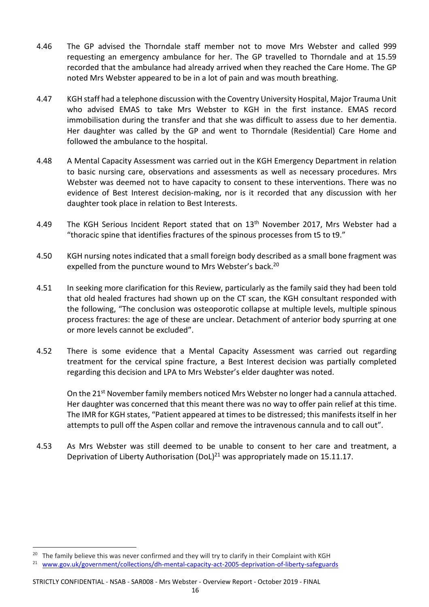- 4.46 The GP advised the Thorndale staff member not to move Mrs Webster and called 999 requesting an emergency ambulance for her. The GP travelled to Thorndale and at 15.59 recorded that the ambulance had already arrived when they reached the Care Home. The GP noted Mrs Webster appeared to be in a lot of pain and was mouth breathing.
- 4.47 KGH staff had a telephone discussion with the Coventry University Hospital, Major Trauma Unit who advised EMAS to take Mrs Webster to KGH in the first instance. EMAS record immobilisation during the transfer and that she was difficult to assess due to her dementia. Her daughter was called by the GP and went to Thorndale (Residential) Care Home and followed the ambulance to the hospital.
- 4.48 A Mental Capacity Assessment was carried out in the KGH Emergency Department in relation to basic nursing care, observations and assessments as well as necessary procedures. Mrs Webster was deemed not to have capacity to consent to these interventions. There was no evidence of Best Interest decision-making, nor is it recorded that any discussion with her daughter took place in relation to Best Interests.
- 4.49 The KGH Serious Incident Report stated that on 13<sup>th</sup> November 2017, Mrs Webster had a "thoracic spine that identifies fractures of the spinous processes from t5 to t9."
- 4.50 KGH nursing notes indicated that a small foreign body described as a small bone fragment was expelled from the puncture wound to Mrs Webster's back.<sup>20</sup>
- 4.51 In seeking more clarification for this Review, particularly as the family said they had been told that old healed fractures had shown up on the CT scan, the KGH consultant responded with the following, "The conclusion was osteoporotic collapse at multiple levels, multiple spinous process fractures: the age of these are unclear. Detachment of anterior body spurring at one or more levels cannot be excluded".
- 4.52 There is some evidence that a Mental Capacity Assessment was carried out regarding treatment for the cervical spine fracture, a Best Interest decision was partially completed regarding this decision and LPA to Mrs Webster's elder daughter was noted.

On the  $21^{st}$  November family members noticed Mrs Webster no longer had a cannula attached. Her daughter was concerned that this meant there was no way to offer pain relief at this time. The IMR for KGH states, "Patient appeared at times to be distressed; this manifests itself in her attempts to pull off the Aspen collar and remove the intravenous cannula and to call out".

4.53 As Mrs Webster was still deemed to be unable to consent to her care and treatment, a Deprivation of Liberty Authorisation (DoL) $^{21}$  was appropriately made on 15.11.17.

-

<sup>&</sup>lt;sup>20</sup> The family believe this was never confirmed and they will try to clarify in their Complaint with KGH

<sup>21</sup> www.gov.uk/government/collections/dh-mental-capacity-act-2005-deprivation-of-liberty-safeguards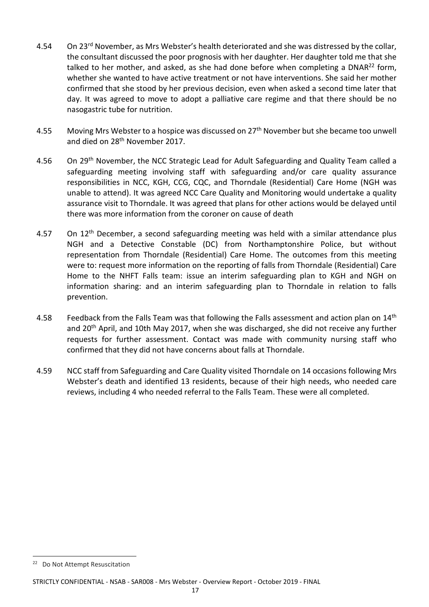- 4.54 On 23<sup>rd</sup> November, as Mrs Webster's health deteriorated and she was distressed by the collar, the consultant discussed the poor prognosis with her daughter. Her daughter told me that she talked to her mother, and asked, as she had done before when completing a  $DNAR<sup>22</sup>$  form, whether she wanted to have active treatment or not have interventions. She said her mother confirmed that she stood by her previous decision, even when asked a second time later that day. It was agreed to move to adopt a palliative care regime and that there should be no nasogastric tube for nutrition.
- 4.55 Moving Mrs Webster to a hospice was discussed on 27<sup>th</sup> November but she became too unwell and died on 28<sup>th</sup> November 2017.
- 4.56 On 29<sup>th</sup> November, the NCC Strategic Lead for Adult Safeguarding and Quality Team called a safeguarding meeting involving staff with safeguarding and/or care quality assurance responsibilities in NCC, KGH, CCG, CQC, and Thorndale (Residential) Care Home (NGH was unable to attend). It was agreed NCC Care Quality and Monitoring would undertake a quality assurance visit to Thorndale. It was agreed that plans for other actions would be delayed until there was more information from the coroner on cause of death
- 4.57 On  $12<sup>th</sup>$  December, a second safeguarding meeting was held with a similar attendance plus NGH and a Detective Constable (DC) from Northamptonshire Police, but without representation from Thorndale (Residential) Care Home. The outcomes from this meeting were to: request more information on the reporting of falls from Thorndale (Residential) Care Home to the NHFT Falls team: issue an interim safeguarding plan to KGH and NGH on information sharing: and an interim safeguarding plan to Thorndale in relation to falls prevention.
- 4.58 Feedback from the Falls Team was that following the Falls assessment and action plan on 14<sup>th</sup> and 20<sup>th</sup> April, and 10th May 2017, when she was discharged, she did not receive any further requests for further assessment. Contact was made with community nursing staff who confirmed that they did not have concerns about falls at Thorndale.
- 4.59 NCC staff from Safeguarding and Care Quality visited Thorndale on 14 occasions following Mrs Webster's death and identified 13 residents, because of their high needs, who needed care reviews, including 4 who needed referral to the Falls Team. These were all completed.

<sup>22</sup> Do Not Attempt Resuscitation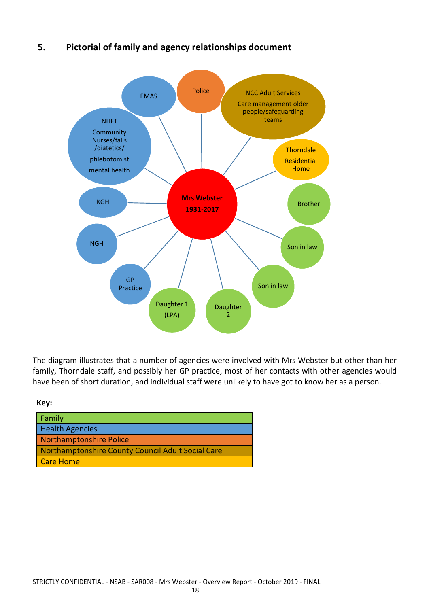# **5. Pictorial of family and agency relationships document**



The diagram illustrates that a number of agencies were involved with Mrs Webster but other than her family, Thorndale staff, and possibly her GP practice, most of her contacts with other agencies would have been of short duration, and individual staff were unlikely to have got to know her as a person.

 **Key:** 

| Family                                            |
|---------------------------------------------------|
| <b>Health Agencies</b>                            |
| Northamptonshire Police                           |
| Northamptonshire County Council Adult Social Care |
| <b>Care Home</b>                                  |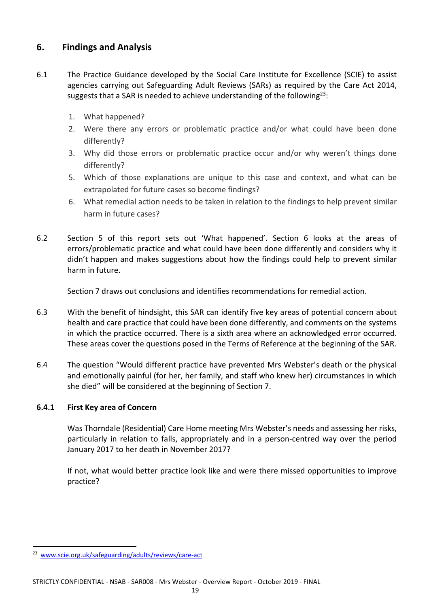# **6. Findings and Analysis**

- 6.1 The Practice Guidance developed by the Social Care Institute for Excellence (SCIE) to assist agencies carrying out Safeguarding Adult Reviews (SARs) as required by the Care Act 2014, suggests that a SAR is needed to achieve understanding of the following<sup>23</sup>:
	- 1. What happened?
	- 2. Were there any errors or problematic practice and/or what could have been done differently?
	- 3. Why did those errors or problematic practice occur and/or why weren't things done differently?
	- 5. Which of those explanations are unique to this case and context, and what can be extrapolated for future cases so become findings?
	- 6. What remedial action needs to be taken in relation to the findings to help prevent similar harm in future cases?
- 6.2 Section 5 of this report sets out 'What happened'. Section 6 looks at the areas of errors/problematic practice and what could have been done differently and considers why it didn't happen and makes suggestions about how the findings could help to prevent similar harm in future.

Section 7 draws out conclusions and identifies recommendations for remedial action.

- 6.3 With the benefit of hindsight, this SAR can identify five key areas of potential concern about health and care practice that could have been done differently, and comments on the systems in which the practice occurred. There is a sixth area where an acknowledged error occurred. These areas cover the questions posed in the Terms of Reference at the beginning of the SAR.
- 6.4 The question "Would different practice have prevented Mrs Webster's death or the physical and emotionally painful (for her, her family, and staff who knew her) circumstances in which she died" will be considered at the beginning of Section 7.

#### **6.4.1 First Key area of Concern**

Was Thorndale (Residential) Care Home meeting Mrs Webster's needs and assessing her risks, particularly in relation to falls, appropriately and in a person-centred way over the period January 2017 to her death in November 2017?

If not, what would better practice look like and were there missed opportunities to improve practice?

-

<sup>23</sup> www.scie.org.uk/safeguarding/adults/reviews/care-act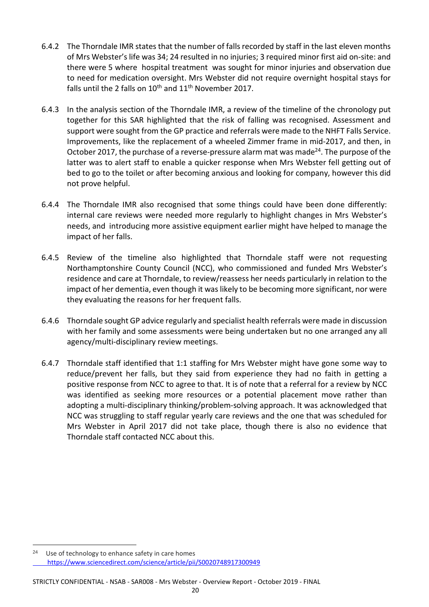- 6.4.2 The Thorndale IMR states that the number of falls recorded by staff in the last eleven months of Mrs Webster's life was 34; 24 resulted in no injuries; 3 required minor first aid on-site: and there were 5 where hospital treatment was sought for minor injuries and observation due to need for medication oversight. Mrs Webster did not require overnight hospital stays for falls until the 2 falls on  $10^{th}$  and  $11^{th}$  November 2017.
- 6.4.3 In the analysis section of the Thorndale IMR, a review of the timeline of the chronology put together for this SAR highlighted that the risk of falling was recognised. Assessment and support were sought from the GP practice and referrals were made to the NHFT Falls Service. Improvements, like the replacement of a wheeled Zimmer frame in mid-2017, and then, in October 2017, the purchase of a reverse-pressure alarm mat was made $^{24}$ . The purpose of the latter was to alert staff to enable a quicker response when Mrs Webster fell getting out of bed to go to the toilet or after becoming anxious and looking for company, however this did not prove helpful.
- 6.4.4 The Thorndale IMR also recognised that some things could have been done differently: internal care reviews were needed more regularly to highlight changes in Mrs Webster's needs, and introducing more assistive equipment earlier might have helped to manage the impact of her falls.
- 6.4.5 Review of the timeline also highlighted that Thorndale staff were not requesting Northamptonshire County Council (NCC), who commissioned and funded Mrs Webster's residence and care at Thorndale, to review/reassess her needs particularly in relation to the impact of her dementia, even though it was likely to be becoming more significant, nor were they evaluating the reasons for her frequent falls.
- 6.4.6 Thorndale sought GP advice regularly and specialist health referrals were made in discussion with her family and some assessments were being undertaken but no one arranged any all agency/multi-disciplinary review meetings.
- 6.4.7 Thorndale staff identified that 1:1 staffing for Mrs Webster might have gone some way to reduce/prevent her falls, but they said from experience they had no faith in getting a positive response from NCC to agree to that. It is of note that a referral for a review by NCC was identified as seeking more resources or a potential placement move rather than adopting a multi-disciplinary thinking/problem-solving approach. It was acknowledged that NCC was struggling to staff regular yearly care reviews and the one that was scheduled for Mrs Webster in April 2017 did not take place, though there is also no evidence that Thorndale staff contacted NCC about this.

<sup>24</sup> Use of technology to enhance safety in care homes https://www.sciencedirect.com/science/article/pii/S0020748917300949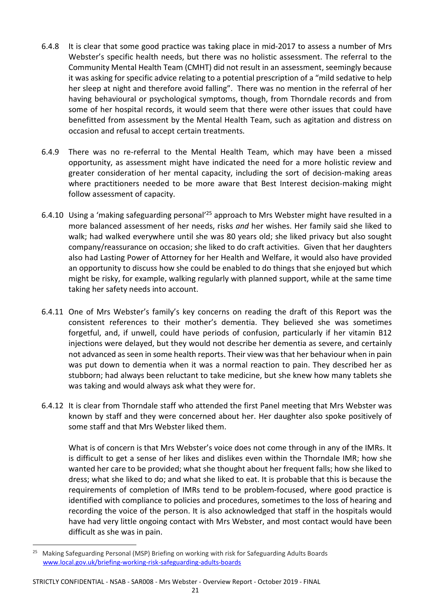- 6.4.8 It is clear that some good practice was taking place in mid-2017 to assess a number of Mrs Webster's specific health needs, but there was no holistic assessment. The referral to the Community Mental Health Team (CMHT) did not result in an assessment, seemingly because it was asking for specific advice relating to a potential prescription of a "mild sedative to help her sleep at night and therefore avoid falling". There was no mention in the referral of her having behavioural or psychological symptoms, though, from Thorndale records and from some of her hospital records, it would seem that there were other issues that could have benefitted from assessment by the Mental Health Team, such as agitation and distress on occasion and refusal to accept certain treatments.
- 6.4.9 There was no re-referral to the Mental Health Team, which may have been a missed opportunity, as assessment might have indicated the need for a more holistic review and greater consideration of her mental capacity, including the sort of decision-making areas where practitioners needed to be more aware that Best Interest decision-making might follow assessment of capacity.
- 6.4.10 Using a 'making safeguarding personal<sup>'25</sup> approach to Mrs Webster might have resulted in a more balanced assessment of her needs, risks *and* her wishes. Her family said she liked to walk; had walked everywhere until she was 80 years old; she liked privacy but also sought company/reassurance on occasion; she liked to do craft activities. Given that her daughters also had Lasting Power of Attorney for her Health and Welfare, it would also have provided an opportunity to discuss how she could be enabled to do things that she enjoyed but which might be risky, for example, walking regularly with planned support, while at the same time taking her safety needs into account.
- 6.4.11 One of Mrs Webster's family's key concerns on reading the draft of this Report was the consistent references to their mother's dementia. They believed she was sometimes forgetful, and, if unwell, could have periods of confusion, particularly if her vitamin B12 injections were delayed, but they would not describe her dementia as severe, and certainly not advanced as seen in some health reports. Their view was that her behaviour when in pain was put down to dementia when it was a normal reaction to pain. They described her as stubborn; had always been reluctant to take medicine, but she knew how many tablets she was taking and would always ask what they were for.
- 6.4.12 It is clear from Thorndale staff who attended the first Panel meeting that Mrs Webster was known by staff and they were concerned about her. Her daughter also spoke positively of some staff and that Mrs Webster liked them.

What is of concern is that Mrs Webster's voice does not come through in any of the IMRs. It is difficult to get a sense of her likes and dislikes even within the Thorndale IMR; how she wanted her care to be provided; what she thought about her frequent falls; how she liked to dress; what she liked to do; and what she liked to eat. It is probable that this is because the requirements of completion of IMRs tend to be problem-focused, where good practice is identified with compliance to policies and procedures, sometimes to the loss of hearing and recording the voice of the person. It is also acknowledged that staff in the hospitals would have had very little ongoing contact with Mrs Webster, and most contact would have been difficult as she was in pain.

.<br>-

#### STRICTLY CONFIDENTIAL - NSAB - SAR008 - Mrs Webster - Overview Report - October 2019 - FINAL

<sup>25</sup> Making Safeguarding Personal (MSP) Briefing on working with risk for Safeguarding Adults Boards www.local.gov.uk/briefing-working-risk-safeguarding-adults-boards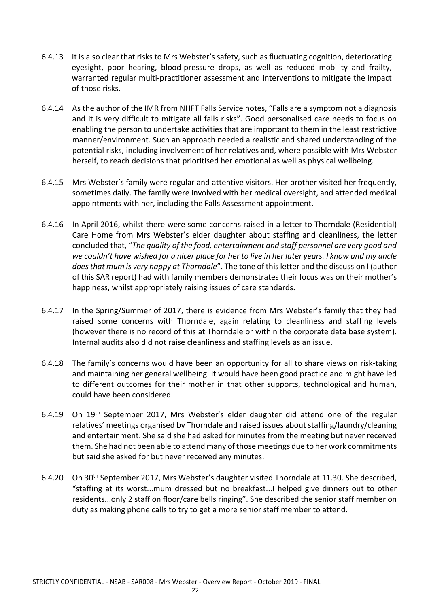- 6.4.13 It is also clear that risks to Mrs Webster's safety, such as fluctuating cognition, deteriorating eyesight, poor hearing, blood-pressure drops, as well as reduced mobility and frailty, warranted regular multi-practitioner assessment and interventions to mitigate the impact of those risks.
- 6.4.14 As the author of the IMR from NHFT Falls Service notes, "Falls are a symptom not a diagnosis and it is very difficult to mitigate all falls risks". Good personalised care needs to focus on enabling the person to undertake activities that are important to them in the least restrictive manner/environment. Such an approach needed a realistic and shared understanding of the potential risks, including involvement of her relatives and, where possible with Mrs Webster herself, to reach decisions that prioritised her emotional as well as physical wellbeing.
- 6.4.15 Mrs Webster's family were regular and attentive visitors. Her brother visited her frequently, sometimes daily. The family were involved with her medical oversight, and attended medical appointments with her, including the Falls Assessment appointment.
- 6.4.16 In April 2016, whilst there were some concerns raised in a letter to Thorndale (Residential) Care Home from Mrs Webster's elder daughter about staffing and cleanliness, the letter concluded that, "*The quality of the food, entertainment and staff personnel are very good and we couldn't have wished for a nicer place for her to live in her later years. I know and my uncle does that mum is very happy at Thorndale*". The tone of this letter and the discussion I (author of this SAR report) had with family members demonstrates their focus was on their mother's happiness, whilst appropriately raising issues of care standards.
- 6.4.17 In the Spring/Summer of 2017, there is evidence from Mrs Webster's family that they had raised some concerns with Thorndale, again relating to cleanliness and staffing levels (however there is no record of this at Thorndale or within the corporate data base system). Internal audits also did not raise cleanliness and staffing levels as an issue.
- 6.4.18 The family's concerns would have been an opportunity for all to share views on risk-taking and maintaining her general wellbeing. It would have been good practice and might have led to different outcomes for their mother in that other supports, technological and human, could have been considered.
- 6.4.19 On 19th September 2017, Mrs Webster's elder daughter did attend one of the regular relatives' meetings organised by Thorndale and raised issues about staffing/laundry/cleaning and entertainment. She said she had asked for minutes from the meeting but never received them. She had not been able to attend many of those meetings due to her work commitments but said she asked for but never received any minutes.
- 6.4.20 On 30th September 2017, Mrs Webster's daughter visited Thorndale at 11.30. She described, "staffing at its worst...mum dressed but no breakfast...I helped give dinners out to other residents...only 2 staff on floor/care bells ringing". She described the senior staff member on duty as making phone calls to try to get a more senior staff member to attend.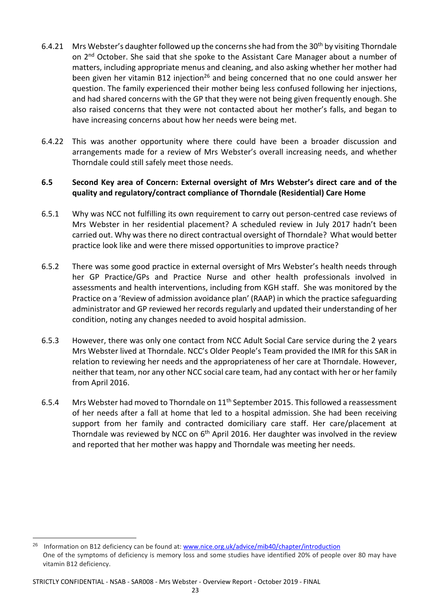- 6.4.21 Mrs Webster's daughter followed up the concerns she had from the 30<sup>th</sup> by visiting Thorndale on 2<sup>nd</sup> October. She said that she spoke to the Assistant Care Manager about a number of matters, including appropriate menus and cleaning, and also asking whether her mother had been given her vitamin B12 injection<sup>26</sup> and being concerned that no one could answer her question. The family experienced their mother being less confused following her injections, and had shared concerns with the GP that they were not being given frequently enough. She also raised concerns that they were not contacted about her mother's falls, and began to have increasing concerns about how her needs were being met.
- 6.4.22 This was another opportunity where there could have been a broader discussion and arrangements made for a review of Mrs Webster's overall increasing needs, and whether Thorndale could still safely meet those needs.

## **6.5 Second Key area of Concern: External oversight of Mrs Webster's direct care and of the quality and regulatory/contract compliance of Thorndale (Residential) Care Home**

- 6.5.1 Why was NCC not fulfilling its own requirement to carry out person-centred case reviews of Mrs Webster in her residential placement? A scheduled review in July 2017 hadn't been carried out. Why was there no direct contractual oversight of Thorndale? What would better practice look like and were there missed opportunities to improve practice?
- 6.5.2 There was some good practice in external oversight of Mrs Webster's health needs through her GP Practice/GPs and Practice Nurse and other health professionals involved in assessments and health interventions, including from KGH staff. She was monitored by the Practice on a 'Review of admission avoidance plan' (RAAP) in which the practice safeguarding administrator and GP reviewed her records regularly and updated their understanding of her condition, noting any changes needed to avoid hospital admission.
- 6.5.3 However, there was only one contact from NCC Adult Social Care service during the 2 years Mrs Webster lived at Thorndale. NCC's Older People's Team provided the IMR for this SAR in relation to reviewing her needs and the appropriateness of her care at Thorndale. However, neither that team, nor any other NCC social care team, had any contact with her or her family from April 2016.
- 6.5.4 Mrs Webster had moved to Thorndale on  $11<sup>th</sup>$  September 2015. This followed a reassessment of her needs after a fall at home that led to a hospital admission. She had been receiving support from her family and contracted domiciliary care staff. Her care/placement at Thorndale was reviewed by NCC on  $6<sup>th</sup>$  April 2016. Her daughter was involved in the review and reported that her mother was happy and Thorndale was meeting her needs.

<sup>&</sup>lt;sup>26</sup> Information on B12 deficiency can be found at: www.nice.org.uk/advice/mib40/chapter/introduction One of the symptoms of deficiency is memory loss and some studies have identified 20% of people over 80 may have vitamin B12 deficiency.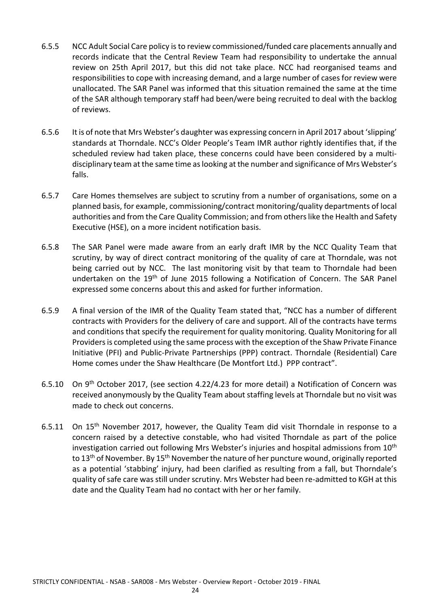- 6.5.5 NCC Adult Social Care policy is to review commissioned/funded care placements annually and records indicate that the Central Review Team had responsibility to undertake the annual review on 25th April 2017, but this did not take place. NCC had reorganised teams and responsibilities to cope with increasing demand, and a large number of cases for review were unallocated. The SAR Panel was informed that this situation remained the same at the time of the SAR although temporary staff had been/were being recruited to deal with the backlog of reviews.
- 6.5.6 It is of note that Mrs Webster's daughter was expressing concern in April 2017 about 'slipping' standards at Thorndale. NCC's Older People's Team IMR author rightly identifies that, if the scheduled review had taken place, these concerns could have been considered by a multidisciplinary team at the same time as looking at the number and significance of Mrs Webster's falls.
- 6.5.7 Care Homes themselves are subject to scrutiny from a number of organisations, some on a planned basis, for example, commissioning/contract monitoring/quality departments of local authorities and from the Care Quality Commission; and from others like the Health and Safety Executive (HSE), on a more incident notification basis.
- 6.5.8 The SAR Panel were made aware from an early draft IMR by the NCC Quality Team that scrutiny, by way of direct contract monitoring of the quality of care at Thorndale, was not being carried out by NCC. The last monitoring visit by that team to Thorndale had been undertaken on the 19<sup>th</sup> of June 2015 following a Notification of Concern. The SAR Panel expressed some concerns about this and asked for further information.
- 6.5.9 A final version of the IMR of the Quality Team stated that, "NCC has a number of different contracts with Providers for the delivery of care and support. All of the contracts have terms and conditions that specify the requirement for quality monitoring. Quality Monitoring for all Providers is completed using the same process with the exception of the Shaw Private Finance Initiative (PFI) and Public-Private Partnerships (PPP) contract. Thorndale (Residential) Care Home comes under the Shaw Healthcare (De Montfort Ltd.) PPP contract".
- 6.5.10 On 9th October 2017, (see section 4.22/4.23 for more detail) a Notification of Concern was received anonymously by the Quality Team about staffing levels at Thorndale but no visit was made to check out concerns.
- 6.5.11 On  $15<sup>th</sup>$  November 2017, however, the Quality Team did visit Thorndale in response to a concern raised by a detective constable, who had visited Thorndale as part of the police investigation carried out following Mrs Webster's injuries and hospital admissions from  $10<sup>th</sup>$ to 13<sup>th</sup> of November. By 15<sup>th</sup> November the nature of her puncture wound, originally reported as a potential 'stabbing' injury, had been clarified as resulting from a fall, but Thorndale's quality of safe care was still under scrutiny. Mrs Webster had been re-admitted to KGH at this date and the Quality Team had no contact with her or her family.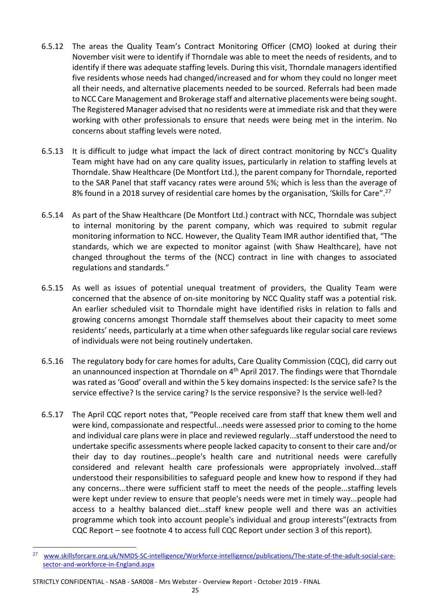- 6.5.12 The areas the Quality Team's Contract Monitoring Officer (CMO) looked at during their November visit were to identify if Thorndale was able to meet the needs of residents, and to identify if there was adequate staffing levels. During this visit, Thorndale managers identified five residents whose needs had changed/increased and for whom they could no longer meet all their needs, and alternative placements needed to be sourced. Referrals had been made to NCC Care Management and Brokerage staff and alternative placements were being sought. The Registered Manager advised that no residents were at immediate risk and that they were working with other professionals to ensure that needs were being met in the interim. No concerns about staffing levels were noted.
- 6.5.13 It is difficult to judge what impact the lack of direct contract monitoring by NCC's Quality Team might have had on any care quality issues, particularly in relation to staffing levels at Thorndale. Shaw Healthcare (De Montfort Ltd.), the parent company for Thorndale, reported to the SAR Panel that staff vacancy rates were around 5%; which is less than the average of 8% found in a 2018 survey of residential care homes by the organisation, 'Skills for Care".<sup>27</sup>
- 6.5.14 As part of the Shaw Healthcare (De Montfort Ltd.) contract with NCC, Thorndale was subject to internal monitoring by the parent company, which was required to submit regular monitoring information to NCC. However, the Quality Team IMR author identified that, "The standards, which we are expected to monitor against (with Shaw Healthcare), have not changed throughout the terms of the (NCC) contract in line with changes to associated regulations and standards."
- 6.5.15 As well as issues of potential unequal treatment of providers, the Quality Team were concerned that the absence of on-site monitoring by NCC Quality staff was a potential risk. An earlier scheduled visit to Thorndale might have identified risks in relation to falls and growing concerns amongst Thorndale staff themselves about their capacity to meet some residents' needs, particularly at a time when other safeguards like regular social care reviews of individuals were not being routinely undertaken.
- 6.5.16 The regulatory body for care homes for adults, Care Quality Commission (CQC), did carry out an unannounced inspection at Thorndale on 4<sup>th</sup> April 2017. The findings were that Thorndale was rated as 'Good' overall and within the 5 key domains inspected: Is the service safe? Is the service effective? Is the service caring? Is the service responsive? Is the service well-led?
- 6.5.17 The April CQC report notes that, "People received care from staff that knew them well and were kind, compassionate and respectful...needs were assessed prior to coming to the home and individual care plans were in place and reviewed regularly...staff understood the need to undertake specific assessments where people lacked capacity to consent to their care and/or their day to day routines…people's health care and nutritional needs were carefully considered and relevant health care professionals were appropriately involved...staff understood their responsibilities to safeguard people and knew how to respond if they had any concerns...there were sufficient staff to meet the needs of the people...staffing levels were kept under review to ensure that people's needs were met in timely way...people had access to a healthy balanced diet...staff knew people well and there was an activities programme which took into account people's individual and group interests"(extracts from CQC Report – see footnote 4 to access full CQC Report under section 3 of this report)*.*

-

<sup>27</sup> www.skillsforcare.org.uk/NMDS-SC-intelligence/Workforce-intelligence/publications/The-state-of-the-adult-social-caresector-and-workforce-in-England.aspx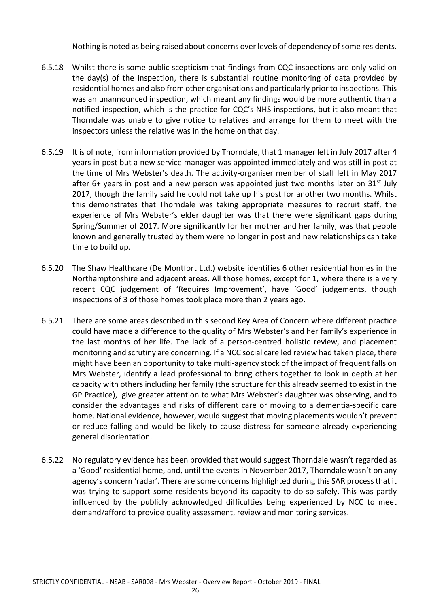Nothing is noted as being raised about concerns over levels of dependency of some residents.

- 6.5.18 Whilst there is some public scepticism that findings from CQC inspections are only valid on the day(s) of the inspection, there is substantial routine monitoring of data provided by residential homes and also from other organisations and particularly prior to inspections. This was an unannounced inspection, which meant any findings would be more authentic than a notified inspection, which is the practice for CQC's NHS inspections, but it also meant that Thorndale was unable to give notice to relatives and arrange for them to meet with the inspectors unless the relative was in the home on that day.
- 6.5.19 It is of note, from information provided by Thorndale, that 1 manager left in July 2017 after 4 years in post but a new service manager was appointed immediately and was still in post at the time of Mrs Webster's death. The activity-organiser member of staff left in May 2017 after 6+ years in post and a new person was appointed just two months later on  $31<sup>st</sup>$  July 2017, though the family said he could not take up his post for another two months. Whilst this demonstrates that Thorndale was taking appropriate measures to recruit staff, the experience of Mrs Webster's elder daughter was that there were significant gaps during Spring/Summer of 2017. More significantly for her mother and her family, was that people known and generally trusted by them were no longer in post and new relationships can take time to build up.
- 6.5.20 The Shaw Healthcare (De Montfort Ltd.) website identifies 6 other residential homes in the Northamptonshire and adjacent areas. All those homes, except for 1, where there is a very recent CQC judgement of 'Requires Improvement', have 'Good' judgements, though inspections of 3 of those homes took place more than 2 years ago.
- 6.5.21 There are some areas described in this second Key Area of Concern where different practice could have made a difference to the quality of Mrs Webster's and her family's experience in the last months of her life. The lack of a person-centred holistic review, and placement monitoring and scrutiny are concerning. If a NCC social care led review had taken place, there might have been an opportunity to take multi-agency stock of the impact of frequent falls on Mrs Webster, identify a lead professional to bring others together to look in depth at her capacity with others including her family (the structure for this already seemed to exist in the GP Practice), give greater attention to what Mrs Webster's daughter was observing, and to consider the advantages and risks of different care or moving to a dementia-specific care home. National evidence, however, would suggest that moving placements wouldn't prevent or reduce falling and would be likely to cause distress for someone already experiencing general disorientation.
- 6.5.22 No regulatory evidence has been provided that would suggest Thorndale wasn't regarded as a 'Good' residential home, and, until the events in November 2017, Thorndale wasn't on any agency's concern 'radar'. There are some concerns highlighted during this SAR process that it was trying to support some residents beyond its capacity to do so safely. This was partly influenced by the publicly acknowledged difficulties being experienced by NCC to meet demand/afford to provide quality assessment, review and monitoring services.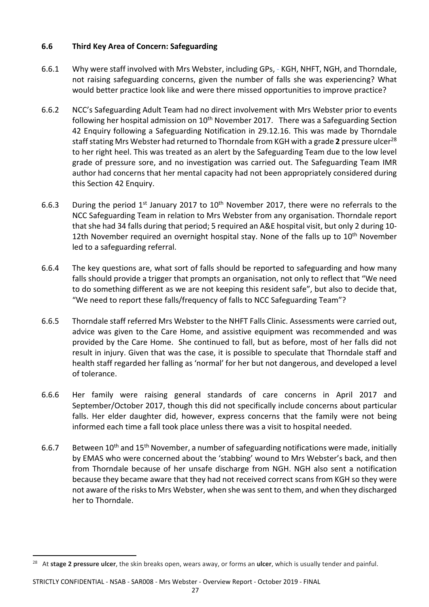## **6.6 Third Key Area of Concern: Safeguarding**

- 6.6.1 Why were staff involved with Mrs Webster, including GPs, KGH, NHFT, NGH, and Thorndale, not raising safeguarding concerns, given the number of falls she was experiencing? What would better practice look like and were there missed opportunities to improve practice?
- 6.6.2 NCC's Safeguarding Adult Team had no direct involvement with Mrs Webster prior to events following her hospital admission on  $10<sup>th</sup>$  November 2017. There was a Safeguarding Section 42 Enquiry following a Safeguarding Notification in 29.12.16. This was made by Thorndale staff stating Mrs Webster had returned to Thorndale from KGH with a grade **2** pressure ulcer<sup>28</sup> to her right heel. This was treated as an alert by the Safeguarding Team due to the low level grade of pressure sore, and no investigation was carried out. The Safeguarding Team IMR author had concerns that her mental capacity had not been appropriately considered during this Section 42 Enquiry.
- 6.6.3 During the period  $1^{st}$  January 2017 to  $10^{th}$  November 2017, there were no referrals to the NCC Safeguarding Team in relation to Mrs Webster from any organisation. Thorndale report that she had 34 falls during that period; 5 required an A&E hospital visit, but only 2 during 10- 12th November required an overnight hospital stay. None of the falls up to 10<sup>th</sup> November led to a safeguarding referral.
- 6.6.4 The key questions are, what sort of falls should be reported to safeguarding and how many falls should provide a trigger that prompts an organisation, not only to reflect that "We need to do something different as we are not keeping this resident safe", but also to decide that, "We need to report these falls/frequency of falls to NCC Safeguarding Team"?
- 6.6.5 Thorndale staff referred Mrs Webster to the NHFT Falls Clinic. Assessments were carried out, advice was given to the Care Home, and assistive equipment was recommended and was provided by the Care Home. She continued to fall, but as before, most of her falls did not result in injury. Given that was the case, it is possible to speculate that Thorndale staff and health staff regarded her falling as 'normal' for her but not dangerous, and developed a level of tolerance.
- 6.6.6 Her family were raising general standards of care concerns in April 2017 and September/October 2017, though this did not specifically include concerns about particular falls. Her elder daughter did, however, express concerns that the family were not being informed each time a fall took place unless there was a visit to hospital needed.
- 6.6.7 Between  $10^{th}$  and  $15^{th}$  November, a number of safeguarding notifications were made, initially by EMAS who were concerned about the 'stabbing' wound to Mrs Webster's back, and then from Thorndale because of her unsafe discharge from NGH. NGH also sent a notification because they became aware that they had not received correct scans from KGH so they were not aware of the risks to Mrs Webster, when she was sent to them, and when they discharged her to Thorndale.

STRICTLY CONFIDENTIAL - NSAB - SAR008 - Mrs Webster - Overview Report - October 2019 - FINAL

<sup>28</sup> At **stage 2 pressure ulcer**, the skin breaks open, wears away, or forms an **ulcer**, which is usually tender and painful.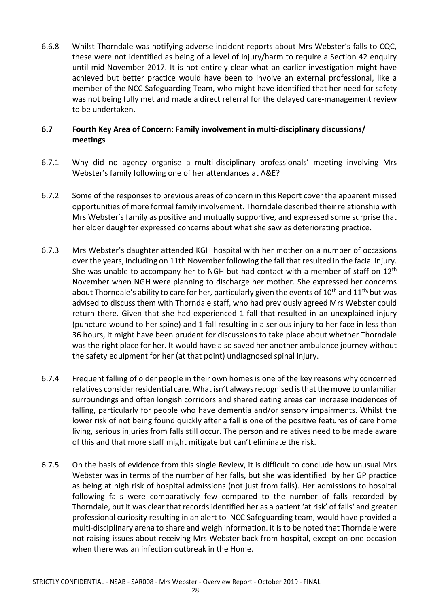6.6.8 Whilst Thorndale was notifying adverse incident reports about Mrs Webster's falls to CQC, these were not identified as being of a level of injury/harm to require a Section 42 enquiry until mid-November 2017. It is not entirely clear what an earlier investigation might have achieved but better practice would have been to involve an external professional, like a member of the NCC Safeguarding Team, who might have identified that her need for safety was not being fully met and made a direct referral for the delayed care-management review to be undertaken.

## **6.7 Fourth Key Area of Concern: Family involvement in multi-disciplinary discussions/ meetings**

- 6.7.1 Why did no agency organise a multi-disciplinary professionals' meeting involving Mrs Webster's family following one of her attendances at A&E?
- 6.7.2 Some of the responses to previous areas of concern in this Report cover the apparent missed opportunities of more formal family involvement. Thorndale described their relationship with Mrs Webster's family as positive and mutually supportive, and expressed some surprise that her elder daughter expressed concerns about what she saw as deteriorating practice.
- 6.7.3 Mrs Webster's daughter attended KGH hospital with her mother on a number of occasions over the years, including on 11th November following the fall that resulted in the facial injury. She was unable to accompany her to NGH but had contact with a member of staff on 12<sup>th</sup> November when NGH were planning to discharge her mother. She expressed her concerns about Thorndale's ability to care for her, particularly given the events of  $10<sup>th</sup>$  and  $11<sup>th</sup>$ , but was advised to discuss them with Thorndale staff, who had previously agreed Mrs Webster could return there. Given that she had experienced 1 fall that resulted in an unexplained injury (puncture wound to her spine) and 1 fall resulting in a serious injury to her face in less than 36 hours, it might have been prudent for discussions to take place about whether Thorndale was the right place for her. It would have also saved her another ambulance journey without the safety equipment for her (at that point) undiagnosed spinal injury.
- 6.7.4 Frequent falling of older people in their own homes is one of the key reasons why concerned relatives consider residential care. What isn't always recognised is that the move to unfamiliar surroundings and often longish corridors and shared eating areas can increase incidences of falling, particularly for people who have dementia and/or sensory impairments. Whilst the lower risk of not being found quickly after a fall is one of the positive features of care home living, serious injuries from falls still occur. The person and relatives need to be made aware of this and that more staff might mitigate but can't eliminate the risk.
- 6.7.5 On the basis of evidence from this single Review, it is difficult to conclude how unusual Mrs Webster was in terms of the number of her falls, but she was identified by her GP practice as being at high risk of hospital admissions (not just from falls). Her admissions to hospital following falls were comparatively few compared to the number of falls recorded by Thorndale, but it was clear that records identified her as a patient 'at risk' of falls' and greater professional curiosity resulting in an alert to NCC Safeguarding team, would have provided a multi-disciplinary arena to share and weigh information. It is to be noted that Thorndale were not raising issues about receiving Mrs Webster back from hospital, except on one occasion when there was an infection outbreak in the Home.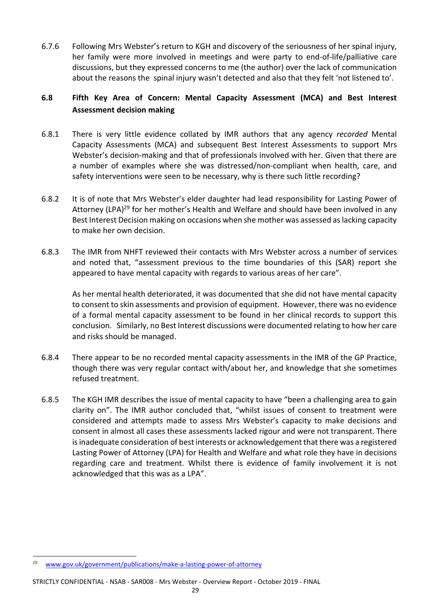6.7.6 Following Mrs Webster's return to KGH and discovery of the seriousness of her spinal injury, her family were more involved in meetings and were party to end-of-life/palliative care discussions, but they expressed concerns to me (the author) over the lack of communication about the reasons the spinal injury wasn't detected and also that they felt 'not listened to'.

## **6.8 Fifth Key Area of Concern: Mental Capacity Assessment (MCA) and Best Interest Assessment decision making**

- 6.8.1 There is very little evidence collated by IMR authors that any agency *recorded* Mental Capacity Assessments (MCA) and subsequent Best Interest Assessments to support Mrs Webster's decision-making and that of professionals involved with her. Given that there are a number of examples where she was distressed/non-compliant when health, care, and safety interventions were seen to be necessary, why is there such little recording?
- 6.8.2 It is of note that Mrs Webster's elder daughter had lead responsibility for Lasting Power of Attorney (LPA)<sup>29</sup> for her mother's Health and Welfare and should have been involved in any Best Interest Decision making on occasions when she mother was assessed as lacking capacity to make her own decision.
- 6.8.3 The IMR from NHFT reviewed their contacts with Mrs Webster across a number of services and noted that, "assessment previous to the time boundaries of this (SAR) report she appeared to have mental capacity with regards to various areas of her care".

As her mental health deteriorated, it was documented that she did not have mental capacity to consent to skin assessments and provision of equipment. However, there was no evidence of a formal mental capacity assessment to be found in her clinical records to support this conclusion. Similarly, no Best Interest discussions were documented relating to how her care and risks should be managed.

- 6.8.4 There appear to be no recorded mental capacity assessments in the IMR of the GP Practice, though there was very regular contact with/about her, and knowledge that she sometimes refused treatment.
- 6.8.5 The KGH IMR describes the issue of mental capacity to have "been a challenging area to gain clarity on". The IMR author concluded that, "whilst issues of consent to treatment were considered and attempts made to assess Mrs Webster's capacity to make decisions and consent in almost all cases these assessments lacked rigour and were not transparent. There is inadequate consideration of best interests or acknowledgement that there was a registered Lasting Power of Attorney (LPA) for Health and Welfare and what role they have in decisions regarding care and treatment. Whilst there is evidence of family involvement it is not acknowledged that this was as a LPA".

<sup>29</sup> www.gov.uk/government/publications/make-a-lasting-power-of-attorney

STRICTLY CONFIDENTIAL - NSAB - SAR008 - Mrs Webster - Overview Report - October 2019 - FINAL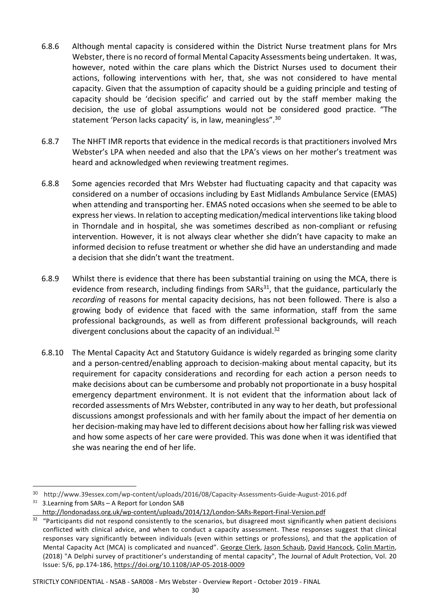- 6.8.6 Although mental capacity is considered within the District Nurse treatment plans for Mrs Webster, there is no record of formal Mental Capacity Assessments being undertaken. It was, however, noted within the care plans which the District Nurses used to document their actions, following interventions with her, that, she was not considered to have mental capacity. Given that the assumption of capacity should be a guiding principle and testing of capacity should be 'decision specific' and carried out by the staff member making the decision, the use of global assumptions would not be considered good practice. "The statement 'Person lacks capacity' is, in law, meaningless".<sup>30</sup>
- 6.8.7 The NHFT IMR reports that evidence in the medical records is that practitioners involved Mrs Webster's LPA when needed and also that the LPA's views on her mother's treatment was heard and acknowledged when reviewing treatment regimes.
- 6.8.8 Some agencies recorded that Mrs Webster had fluctuating capacity and that capacity was considered on a number of occasions including by East Midlands Ambulance Service (EMAS) when attending and transporting her. EMAS noted occasions when she seemed to be able to express her views. In relation to accepting medication/medical interventions like taking blood in Thorndale and in hospital, she was sometimes described as non-compliant or refusing intervention. However, it is not always clear whether she didn't have capacity to make an informed decision to refuse treatment or whether she did have an understanding and made a decision that she didn't want the treatment.
- 6.8.9 Whilst there is evidence that there has been substantial training on using the MCA, there is evidence from research, including findings from SARs<sup>31</sup>, that the guidance, particularly the *recording* of reasons for mental capacity decisions, has not been followed. There is also a growing body of evidence that faced with the same information, staff from the same professional backgrounds, as well as from different professional backgrounds, will reach divergent conclusions about the capacity of an individual.<sup>32</sup>
- 6.8.10 The Mental Capacity Act and Statutory Guidance is widely regarded as bringing some clarity and a person-centred/enabling approach to decision-making about mental capacity, but its requirement for capacity considerations and recording for each action a person needs to make decisions about can be cumbersome and probably not proportionate in a busy hospital emergency department environment. It is not evident that the information about lack of recorded assessments of Mrs Webster, contributed in any way to her death, but professional discussions amongst professionals and with her family about the impact of her dementia on her decision-making may have led to different decisions about how her falling risk was viewed and how some aspects of her care were provided. This was done when it was identified that she was nearing the end of her life.

.<br>-

STRICTLY CONFIDENTIAL - NSAB - SAR008 - Mrs Webster - Overview Report - October 2019 - FINAL

<sup>&</sup>lt;sup>30</sup> http://www.39essex.com/wp-content/uploads/2016/08/Capacity-Assessments-Guide-August-2016.pdf

 $31$  3. Learning from SARs - A Report for London SAB

http://londonadass.org.uk/wp-content/uploads/2014/12/London-SARs-Report-Final-Version.pdf

 $32$  "Participants did not respond consistently to the scenarios, but disagreed most significantly when patient decisions conflicted with clinical advice, and when to conduct a capacity assessment. These responses suggest that clinical responses vary significantly between individuals (even within settings or professions), and that the application of Mental Capacity Act (MCA) is complicated and nuanced". George Clerk, Jason Schaub, David Hancock, Colin Martin, (2018) "A Delphi survey of practitioner's understanding of mental capacity", The Journal of Adult Protection, Vol. 20 Issue: 5/6, pp.174-186, https://doi.org/10.1108/JAP-05-2018-0009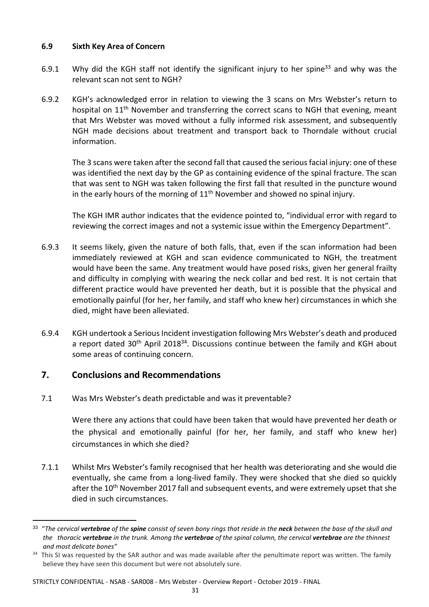### **6.9 Sixth Key Area of Concern**

- 6.9.1 Why did the KGH staff not identify the significant injury to her spine<sup>33</sup> and why was the relevant scan not sent to NGH?
- 6.9.2 KGH's acknowledged error in relation to viewing the 3 scans on Mrs Webster's return to hospital on 11<sup>th</sup> November and transferring the correct scans to NGH that evening, meant that Mrs Webster was moved without a fully informed risk assessment, and subsequently NGH made decisions about treatment and transport back to Thorndale without crucial information.

The 3 scans were taken after the second fall that caused the serious facial injury: one of these was identified the next day by the GP as containing evidence of the spinal fracture. The scan that was sent to NGH was taken following the first fall that resulted in the puncture wound in the early hours of the morning of  $11<sup>th</sup>$  November and showed no spinal injury.

The KGH IMR author indicates that the evidence pointed to, "individual error with regard to reviewing the correct images and not a systemic issue within the Emergency Department".

- 6.9.3 It seems likely, given the nature of both falls, that, even if the scan information had been immediately reviewed at KGH and scan evidence communicated to NGH, the treatment would have been the same. Any treatment would have posed risks, given her general frailty and difficulty in complying with wearing the neck collar and bed rest. It is not certain that different practice would have prevented her death, but it is possible that the physical and emotionally painful (for her, her family, and staff who knew her) circumstances in which she died, might have been alleviated.
- 6.9.4 KGH undertook a Serious Incident investigation following Mrs Webster's death and produced a report dated  $30<sup>th</sup>$  April 2018<sup>34</sup>. Discussions continue between the family and KGH about some areas of continuing concern.

## **7. Conclusions and Recommendations**

<u>.</u>

7.1 Was Mrs Webster's death predictable and was it preventable?

Were there any actions that could have been taken that would have prevented her death or the physical and emotionally painful (for her, her family, and staff who knew her) circumstances in which she died?

7.1.1 Whilst Mrs Webster's family recognised that her health was deteriorating and she would die eventually, she came from a long-lived family. They were shocked that she died so quickly after the 10<sup>th</sup> November 2017 fall and subsequent events, and were extremely upset that she died in such circumstances.

#### STRICTLY CONFIDENTIAL - NSAB - SAR008 - Mrs Webster - Overview Report - October 2019 - FINAL

<sup>33</sup> "*The cervical vertebrae of the spine consist of seven bony rings that reside in the neck between the base of the skull and the thoracic vertebrae in the trunk. Among the vertebrae of the spinal column, the cervical vertebrae are the thinnest and most delicate bones"*

<sup>&</sup>lt;sup>34</sup> This SI was requested by the SAR author and was made available after the penultimate report was written. The family believe they have seen this document but were not absolutely sure.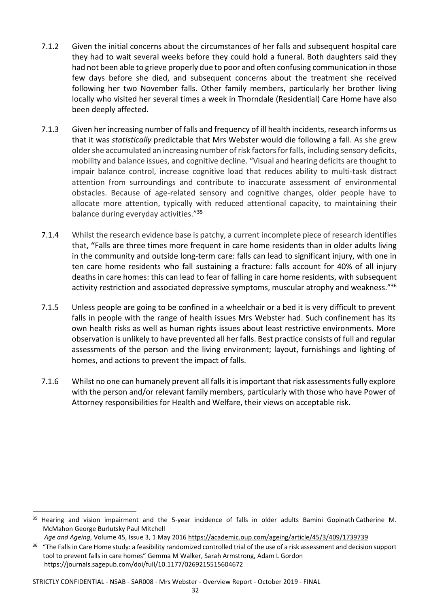- 7.1.2 Given the initial concerns about the circumstances of her falls and subsequent hospital care they had to wait several weeks before they could hold a funeral. Both daughters said they had not been able to grieve properly due to poor and often confusing communication in those few days before she died, and subsequent concerns about the treatment she received following her two November falls. Other family members, particularly her brother living locally who visited her several times a week in Thorndale (Residential) Care Home have also been deeply affected.
- 7.1.3 Given her increasing number of falls and frequency of ill health incidents, research informs us that it was *statistically* predictable that Mrs Webster would die following a fall. As she grew older she accumulated an increasing number of risk factors for falls, including sensory deficits, mobility and balance issues, and cognitive decline. "Visual and hearing deficits are thought to impair balance control, increase cognitive load that reduces ability to multi-task distract attention from surroundings and contribute to inaccurate assessment of environmental obstacles. Because of age-related sensory and cognitive changes, older people have to allocate more attention, typically with reduced attentional capacity, to maintaining their balance during everyday activities."**<sup>35</sup>**
- 7.1.4 Whilst the research evidence base is patchy, a current incomplete piece of research identifies that**, "**Falls are three times more frequent in care home residents than in older adults living in the community and outside long-term care: falls can lead to significant injury, with one in ten care home residents who fall sustaining a fracture: falls account for 40% of all injury deaths in care homes: this can lead to fear of falling in care home residents, with subsequent activity restriction and associated depressive symptoms, muscular atrophy and weakness."<sup>36</sup>
- 7.1.5 Unless people are going to be confined in a wheelchair or a bed it is very difficult to prevent falls in people with the range of health issues Mrs Webster had. Such confinement has its own health risks as well as human rights issues about least restrictive environments. More observation is unlikely to have prevented all her falls. Best practice consists of full and regular assessments of the person and the living environment; layout, furnishings and lighting of homes, and actions to prevent the impact of falls.
- 7.1.6 Whilst no one can humanely prevent all falls it is important that risk assessments fully explore with the person and/or relevant family members, particularly with those who have Power of Attorney responsibilities for Health and Welfare, their views on acceptable risk.

-

<sup>&</sup>lt;sup>35</sup> Hearing and vision impairment and the 5-year incidence of falls in older adults Bamini Gopinath Catherine M. McMahon George Burlutsky Paul Mitchell

*Age and Ageing*, Volume 45, Issue 3, 1 May 2016 https://academic.oup.com/ageing/article/45/3/409/1739739

<sup>&</sup>lt;sup>36</sup> "The Falls in Care Home study: a feasibility randomized controlled trial of the use of a risk assessment and decision support tool to prevent falls in care homes" Gemma M Walker, Sarah Armstrong, Adam L Gordon https://journals.sagepub.com/doi/full/10.1177/0269215515604672

STRICTLY CONFIDENTIAL - NSAB - SAR008 - Mrs Webster - Overview Report - October 2019 - FINAL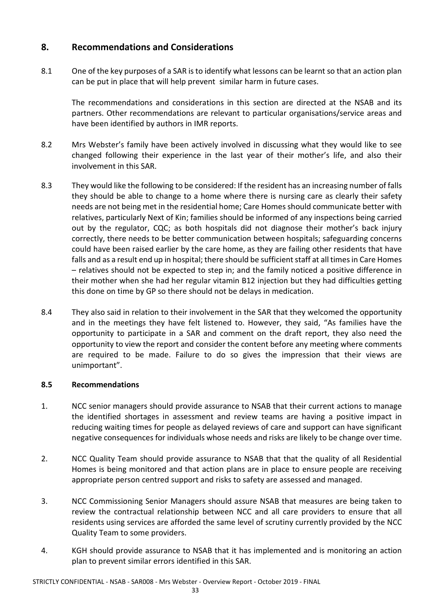# **8. Recommendations and Considerations**

8.1 One of the key purposes of a SAR is to identify what lessons can be learnt so that an action plan can be put in place that will help prevent similar harm in future cases.

The recommendations and considerations in this section are directed at the NSAB and its partners. Other recommendations are relevant to particular organisations/service areas and have been identified by authors in IMR reports.

- 8.2 Mrs Webster's family have been actively involved in discussing what they would like to see changed following their experience in the last year of their mother's life, and also their involvement in this SAR.
- 8.3 They would like the following to be considered: If the resident has an increasing number of falls they should be able to change to a home where there is nursing care as clearly their safety needs are not being met in the residential home; Care Homes should communicate better with relatives, particularly Next of Kin; families should be informed of any inspections being carried out by the regulator, CQC; as both hospitals did not diagnose their mother's back injury correctly, there needs to be better communication between hospitals; safeguarding concerns could have been raised earlier by the care home, as they are failing other residents that have falls and as a result end up in hospital; there should be sufficient staff at all times in Care Homes – relatives should not be expected to step in; and the family noticed a positive difference in their mother when she had her regular vitamin B12 injection but they had difficulties getting this done on time by GP so there should not be delays in medication.
- 8.4 They also said in relation to their involvement in the SAR that they welcomed the opportunity and in the meetings they have felt listened to. However, they said, "As families have the opportunity to participate in a SAR and comment on the draft report, they also need the opportunity to view the report and consider the content before any meeting where comments are required to be made. Failure to do so gives the impression that their views are unimportant".

## **8.5 Recommendations**

- 1. NCC senior managers should provide assurance to NSAB that their current actions to manage the identified shortages in assessment and review teams are having a positive impact in reducing waiting times for people as delayed reviews of care and support can have significant negative consequences for individuals whose needs and risks are likely to be change over time.
- 2. NCC Quality Team should provide assurance to NSAB that that the quality of all Residential Homes is being monitored and that action plans are in place to ensure people are receiving appropriate person centred support and risks to safety are assessed and managed.
- 3. NCC Commissioning Senior Managers should assure NSAB that measures are being taken to review the contractual relationship between NCC and all care providers to ensure that all residents using services are afforded the same level of scrutiny currently provided by the NCC Quality Team to some providers.
- 4. KGH should provide assurance to NSAB that it has implemented and is monitoring an action plan to prevent similar errors identified in this SAR.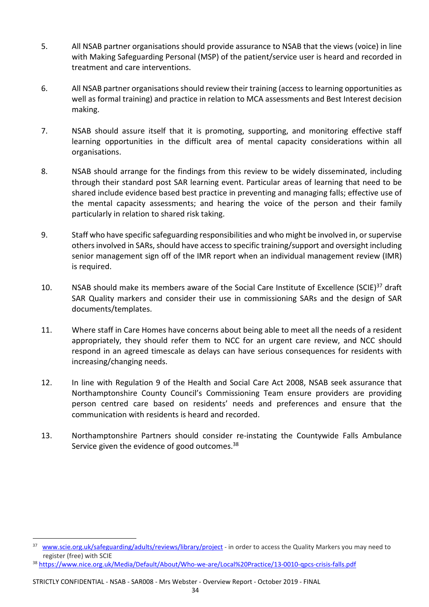- 5. All NSAB partner organisations should provide assurance to NSAB that the views (voice) in line with Making Safeguarding Personal (MSP) of the patient/service user is heard and recorded in treatment and care interventions.
- 6. All NSAB partner organisations should review their training (access to learning opportunities as well as formal training) and practice in relation to MCA assessments and Best Interest decision making.
- 7. NSAB should assure itself that it is promoting, supporting, and monitoring effective staff learning opportunities in the difficult area of mental capacity considerations within all organisations.
- 8. NSAB should arrange for the findings from this review to be widely disseminated, including through their standard post SAR learning event. Particular areas of learning that need to be shared include evidence based best practice in preventing and managing falls; effective use of the mental capacity assessments; and hearing the voice of the person and their family particularly in relation to shared risk taking.
- 9. Staff who have specific safeguarding responsibilities and who might be involved in, or supervise others involved in SARs, should have access to specific training/support and oversight including senior management sign off of the IMR report when an individual management review (IMR) is required.
- 10. NSAB should make its members aware of the Social Care Institute of Excellence (SCIE)<sup>37</sup> draft SAR Quality markers and consider their use in commissioning SARs and the design of SAR documents/templates.
- 11. Where staff in Care Homes have concerns about being able to meet all the needs of a resident appropriately, they should refer them to NCC for an urgent care review, and NCC should respond in an agreed timescale as delays can have serious consequences for residents with increasing/changing needs.
- 12. In line with Regulation 9 of the Health and Social Care Act 2008, NSAB seek assurance that Northamptonshire County Council's Commissioning Team ensure providers are providing person centred care based on residents' needs and preferences and ensure that the communication with residents is heard and recorded.
- 13. Northamptonshire Partners should consider re-instating the Countywide Falls Ambulance Service given the evidence of good outcomes.<sup>38</sup>

<sup>37</sup> www.scie.org.uk/safeguarding/adults/reviews/library/project - in order to access the Quality Markers you may need to register (free) with SCIE

<sup>38</sup> https://www.nice.org.uk/Media/Default/About/Who-we-are/Local%20Practice/13-0010-qpcs-crisis-falls.pdf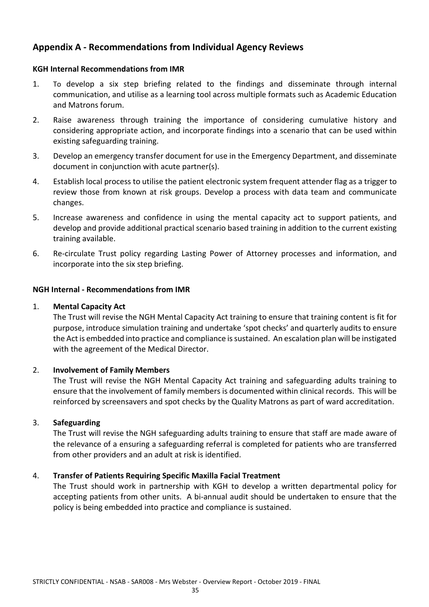# **Appendix A - Recommendations from Individual Agency Reviews**

### **KGH Internal Recommendations from IMR**

- 1. To develop a six step briefing related to the findings and disseminate through internal communication, and utilise as a learning tool across multiple formats such as Academic Education and Matrons forum.
- 2. Raise awareness through training the importance of considering cumulative history and considering appropriate action, and incorporate findings into a scenario that can be used within existing safeguarding training.
- 3. Develop an emergency transfer document for use in the Emergency Department, and disseminate document in conjunction with acute partner(s).
- 4. Establish local process to utilise the patient electronic system frequent attender flag as a trigger to review those from known at risk groups. Develop a process with data team and communicate changes.
- 5. Increase awareness and confidence in using the mental capacity act to support patients, and develop and provide additional practical scenario based training in addition to the current existing training available.
- 6. Re-circulate Trust policy regarding Lasting Power of Attorney processes and information, and incorporate into the six step briefing.

#### **NGH Internal - Recommendations from IMR**

#### 1. **Mental Capacity Act**

The Trust will revise the NGH Mental Capacity Act training to ensure that training content is fit for purpose, introduce simulation training and undertake 'spot checks' and quarterly audits to ensure the Act is embedded into practice and compliance is sustained. An escalation plan will be instigated with the agreement of the Medical Director.

## 2. **Involvement of Family Members**

The Trust will revise the NGH Mental Capacity Act training and safeguarding adults training to ensure that the involvement of family members is documented within clinical records. This will be reinforced by screensavers and spot checks by the Quality Matrons as part of ward accreditation.

## 3. **Safeguarding**

The Trust will revise the NGH safeguarding adults training to ensure that staff are made aware of the relevance of a ensuring a safeguarding referral is completed for patients who are transferred from other providers and an adult at risk is identified.

## 4. **Transfer of Patients Requiring Specific Maxilla Facial Treatment**

The Trust should work in partnership with KGH to develop a written departmental policy for accepting patients from other units. A bi-annual audit should be undertaken to ensure that the policy is being embedded into practice and compliance is sustained.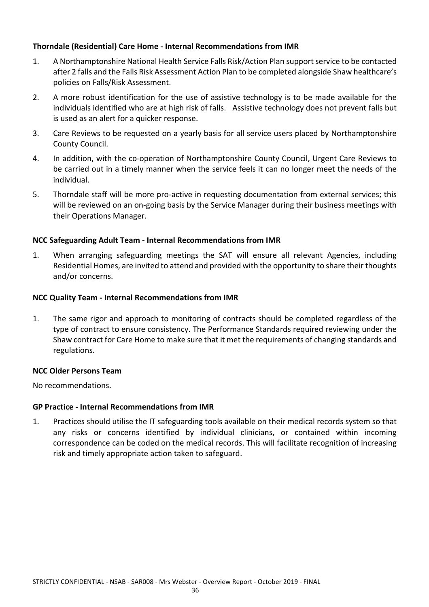### **Thorndale (Residential) Care Home - Internal Recommendations from IMR**

- 1. A Northamptonshire National Health Service Falls Risk/Action Plan support service to be contacted after 2 falls and the Falls Risk Assessment Action Plan to be completed alongside Shaw healthcare's policies on Falls/Risk Assessment.
- 2. A more robust identification for the use of assistive technology is to be made available for the individuals identified who are at high risk of falls. Assistive technology does not prevent falls but is used as an alert for a quicker response.
- 3. Care Reviews to be requested on a yearly basis for all service users placed by Northamptonshire County Council.
- 4. In addition, with the co-operation of Northamptonshire County Council, Urgent Care Reviews to be carried out in a timely manner when the service feels it can no longer meet the needs of the individual.
- 5. Thorndale staff will be more pro-active in requesting documentation from external services; this will be reviewed on an on-going basis by the Service Manager during their business meetings with their Operations Manager.

#### **NCC Safeguarding Adult Team - Internal Recommendations from IMR**

1. When arranging safeguarding meetings the SAT will ensure all relevant Agencies, including Residential Homes, are invited to attend and provided with the opportunity to share their thoughts and/or concerns.

#### **NCC Quality Team - Internal Recommendations from IMR**

1. The same rigor and approach to monitoring of contracts should be completed regardless of the type of contract to ensure consistency. The Performance Standards required reviewing under the Shaw contract for Care Home to make sure that it met the requirements of changing standards and regulations.

#### **NCC Older Persons Team**

No recommendations.

#### **GP Practice - Internal Recommendations from IMR**

1. Practices should utilise the IT safeguarding tools available on their medical records system so that any risks or concerns identified by individual clinicians, or contained within incoming correspondence can be coded on the medical records. This will facilitate recognition of increasing risk and timely appropriate action taken to safeguard.